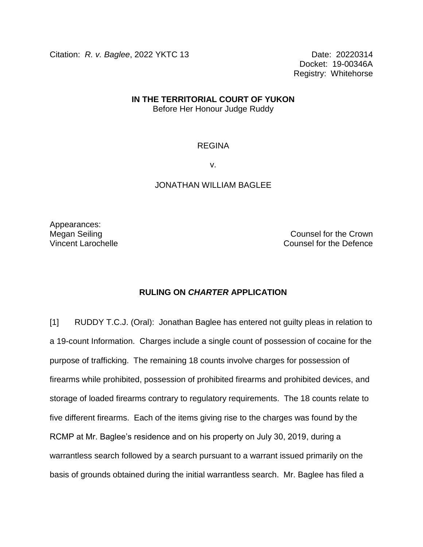Citation: *R. v. Baglee*, 2022 YKTC 13 Date: 20220314

Docket: 19-00346A Registry: Whitehorse

**IN THE TERRITORIAL COURT OF YUKON**

Before Her Honour Judge Ruddy

### REGINA

v.

### JONATHAN WILLIAM BAGLEE

Appearances: Megan Seiling Vincent Larochelle

Counsel for the Crown Counsel for the Defence

## **RULING ON** *CHARTER* **APPLICATION**

[1] RUDDY T.C.J. (Oral): Jonathan Baglee has entered not guilty pleas in relation to a 19-count Information. Charges include a single count of possession of cocaine for the purpose of trafficking. The remaining 18 counts involve charges for possession of firearms while prohibited, possession of prohibited firearms and prohibited devices, and storage of loaded firearms contrary to regulatory requirements. The 18 counts relate to five different firearms. Each of the items giving rise to the charges was found by the RCMP at Mr. Baglee's residence and on his property on July 30, 2019, during a warrantless search followed by a search pursuant to a warrant issued primarily on the basis of grounds obtained during the initial warrantless search. Mr. Baglee has filed a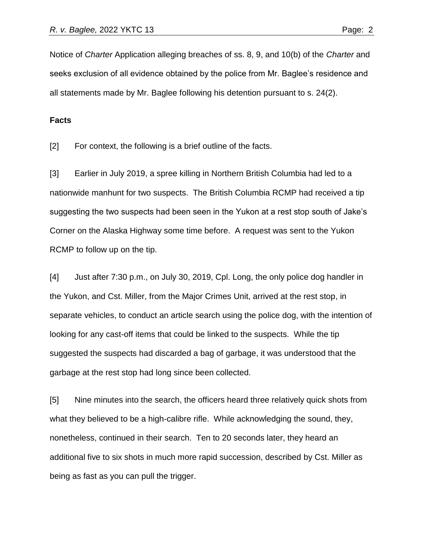Notice of *Charter* Application alleging breaches of ss. 8, 9, and 10(b) of the *Charter* and seeks exclusion of all evidence obtained by the police from Mr. Baglee's residence and all statements made by Mr. Baglee following his detention pursuant to s. 24(2).

**Facts**

[2] For context, the following is a brief outline of the facts.

[3] Earlier in July 2019, a spree killing in Northern British Columbia had led to a nationwide manhunt for two suspects. The British Columbia RCMP had received a tip suggesting the two suspects had been seen in the Yukon at a rest stop south of Jake's Corner on the Alaska Highway some time before. A request was sent to the Yukon RCMP to follow up on the tip.

[4] Just after 7:30 p.m., on July 30, 2019, Cpl. Long, the only police dog handler in the Yukon, and Cst. Miller, from the Major Crimes Unit, arrived at the rest stop, in separate vehicles, to conduct an article search using the police dog, with the intention of looking for any cast-off items that could be linked to the suspects. While the tip suggested the suspects had discarded a bag of garbage, it was understood that the garbage at the rest stop had long since been collected.

[5] Nine minutes into the search, the officers heard three relatively quick shots from what they believed to be a high-calibre rifle. While acknowledging the sound, they, nonetheless, continued in their search. Ten to 20 seconds later, they heard an additional five to six shots in much more rapid succession, described by Cst. Miller as being as fast as you can pull the trigger.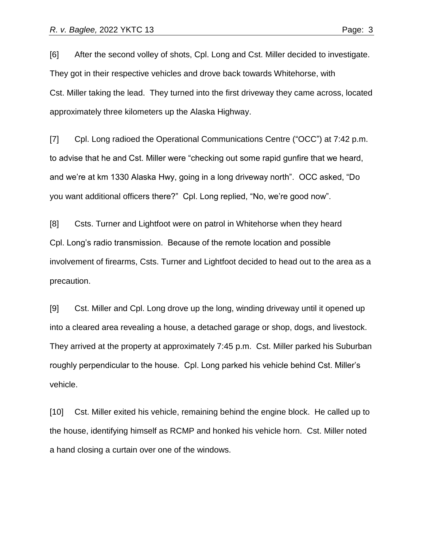[6] After the second volley of shots, Cpl. Long and Cst. Miller decided to investigate. They got in their respective vehicles and drove back towards Whitehorse, with Cst. Miller taking the lead. They turned into the first driveway they came across, located approximately three kilometers up the Alaska Highway.

[7] Cpl. Long radioed the Operational Communications Centre ("OCC") at 7:42 p.m. to advise that he and Cst. Miller were "checking out some rapid gunfire that we heard, and we're at km 1330 Alaska Hwy, going in a long driveway north". OCC asked, "Do you want additional officers there?" Cpl. Long replied, "No, we're good now".

[8] Csts. Turner and Lightfoot were on patrol in Whitehorse when they heard Cpl. Long's radio transmission. Because of the remote location and possible involvement of firearms, Csts. Turner and Lightfoot decided to head out to the area as a precaution.

[9] Cst. Miller and Cpl. Long drove up the long, winding driveway until it opened up into a cleared area revealing a house, a detached garage or shop, dogs, and livestock. They arrived at the property at approximately 7:45 p.m. Cst. Miller parked his Suburban roughly perpendicular to the house. Cpl. Long parked his vehicle behind Cst. Miller's vehicle.

[10] Cst. Miller exited his vehicle, remaining behind the engine block. He called up to the house, identifying himself as RCMP and honked his vehicle horn. Cst. Miller noted a hand closing a curtain over one of the windows.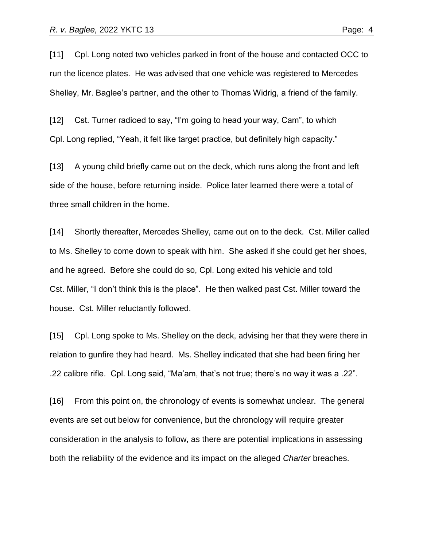[11] Cpl. Long noted two vehicles parked in front of the house and contacted OCC to run the licence plates. He was advised that one vehicle was registered to Mercedes Shelley, Mr. Baglee's partner, and the other to Thomas Widrig, a friend of the family.

[12] Cst. Turner radioed to say, "I'm going to head your way, Cam", to which Cpl. Long replied, "Yeah, it felt like target practice, but definitely high capacity."

[13] A young child briefly came out on the deck, which runs along the front and left side of the house, before returning inside. Police later learned there were a total of three small children in the home.

[14] Shortly thereafter, Mercedes Shelley, came out on to the deck. Cst. Miller called to Ms. Shelley to come down to speak with him. She asked if she could get her shoes, and he agreed. Before she could do so, Cpl. Long exited his vehicle and told Cst. Miller, "I don't think this is the place". He then walked past Cst. Miller toward the house. Cst. Miller reluctantly followed.

[15] Cpl. Long spoke to Ms. Shelley on the deck, advising her that they were there in relation to gunfire they had heard. Ms. Shelley indicated that she had been firing her .22 calibre rifle. Cpl. Long said, "Ma'am, that's not true; there's no way it was a .22".

[16] From this point on, the chronology of events is somewhat unclear. The general events are set out below for convenience, but the chronology will require greater consideration in the analysis to follow, as there are potential implications in assessing both the reliability of the evidence and its impact on the alleged *Charter* breaches.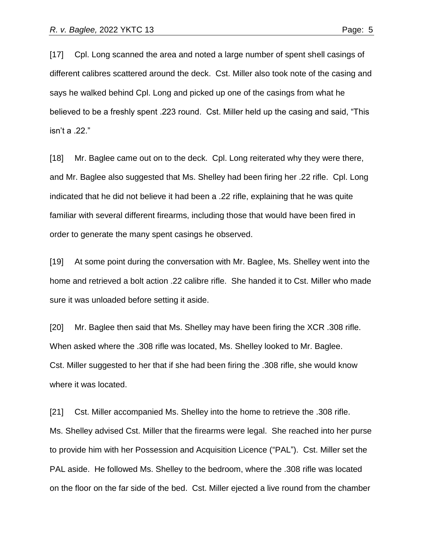[17] Cpl. Long scanned the area and noted a large number of spent shell casings of different calibres scattered around the deck. Cst. Miller also took note of the casing and says he walked behind Cpl. Long and picked up one of the casings from what he believed to be a freshly spent .223 round. Cst. Miller held up the casing and said, "This isn't a .22."

[18] Mr. Baglee came out on to the deck. Cpl. Long reiterated why they were there, and Mr. Baglee also suggested that Ms. Shelley had been firing her .22 rifle. Cpl. Long indicated that he did not believe it had been a .22 rifle, explaining that he was quite familiar with several different firearms, including those that would have been fired in order to generate the many spent casings he observed.

[19] At some point during the conversation with Mr. Baglee, Ms. Shelley went into the home and retrieved a bolt action .22 calibre rifle. She handed it to Cst. Miller who made sure it was unloaded before setting it aside.

[20] Mr. Baglee then said that Ms. Shelley may have been firing the XCR .308 rifle. When asked where the .308 rifle was located, Ms. Shelley looked to Mr. Baglee. Cst. Miller suggested to her that if she had been firing the .308 rifle, she would know where it was located.

[21] Cst. Miller accompanied Ms. Shelley into the home to retrieve the .308 rifle. Ms. Shelley advised Cst. Miller that the firearms were legal. She reached into her purse to provide him with her Possession and Acquisition Licence ("PAL"). Cst. Miller set the PAL aside. He followed Ms. Shelley to the bedroom, where the .308 rifle was located on the floor on the far side of the bed. Cst. Miller ejected a live round from the chamber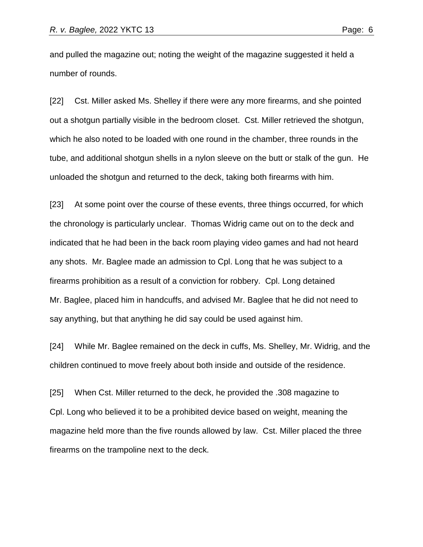and pulled the magazine out; noting the weight of the magazine suggested it held a number of rounds.

[22] Cst. Miller asked Ms. Shelley if there were any more firearms, and she pointed out a shotgun partially visible in the bedroom closet. Cst. Miller retrieved the shotgun, which he also noted to be loaded with one round in the chamber, three rounds in the tube, and additional shotgun shells in a nylon sleeve on the butt or stalk of the gun. He unloaded the shotgun and returned to the deck, taking both firearms with him.

[23] At some point over the course of these events, three things occurred, for which the chronology is particularly unclear. Thomas Widrig came out on to the deck and indicated that he had been in the back room playing video games and had not heard any shots. Mr. Baglee made an admission to Cpl. Long that he was subject to a firearms prohibition as a result of a conviction for robbery. Cpl. Long detained Mr. Baglee, placed him in handcuffs, and advised Mr. Baglee that he did not need to say anything, but that anything he did say could be used against him.

[24] While Mr. Baglee remained on the deck in cuffs, Ms. Shelley, Mr. Widrig, and the children continued to move freely about both inside and outside of the residence.

[25] When Cst. Miller returned to the deck, he provided the .308 magazine to Cpl. Long who believed it to be a prohibited device based on weight, meaning the magazine held more than the five rounds allowed by law. Cst. Miller placed the three firearms on the trampoline next to the deck.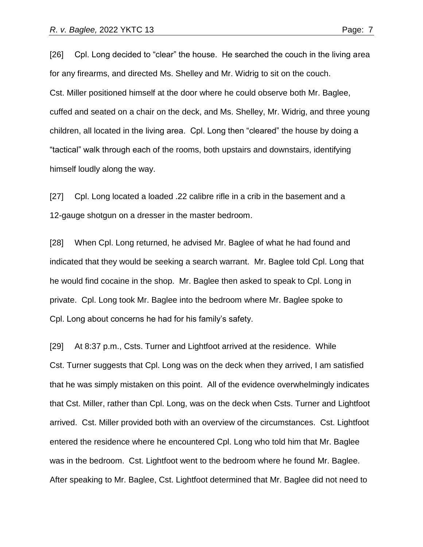[26] Cpl. Long decided to "clear" the house. He searched the couch in the living area for any firearms, and directed Ms. Shelley and Mr. Widrig to sit on the couch. Cst. Miller positioned himself at the door where he could observe both Mr. Baglee, cuffed and seated on a chair on the deck, and Ms. Shelley, Mr. Widrig, and three young children, all located in the living area. Cpl. Long then "cleared" the house by doing a "tactical" walk through each of the rooms, both upstairs and downstairs, identifying himself loudly along the way.

[27] Cpl. Long located a loaded .22 calibre rifle in a crib in the basement and a 12-gauge shotgun on a dresser in the master bedroom.

[28] When Cpl. Long returned, he advised Mr. Baglee of what he had found and indicated that they would be seeking a search warrant. Mr. Baglee told Cpl. Long that he would find cocaine in the shop. Mr. Baglee then asked to speak to Cpl. Long in private. Cpl. Long took Mr. Baglee into the bedroom where Mr. Baglee spoke to Cpl. Long about concerns he had for his family's safety.

[29] At 8:37 p.m., Csts. Turner and Lightfoot arrived at the residence. While Cst. Turner suggests that Cpl. Long was on the deck when they arrived, I am satisfied that he was simply mistaken on this point. All of the evidence overwhelmingly indicates that Cst. Miller, rather than Cpl. Long, was on the deck when Csts. Turner and Lightfoot arrived. Cst. Miller provided both with an overview of the circumstances. Cst. Lightfoot entered the residence where he encountered Cpl. Long who told him that Mr. Baglee was in the bedroom. Cst. Lightfoot went to the bedroom where he found Mr. Baglee. After speaking to Mr. Baglee, Cst. Lightfoot determined that Mr. Baglee did not need to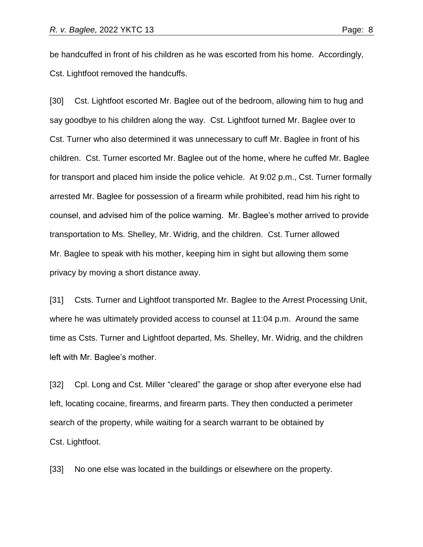be handcuffed in front of his children as he was escorted from his home. Accordingly, Cst. Lightfoot removed the handcuffs.

[30] Cst. Lightfoot escorted Mr. Baglee out of the bedroom, allowing him to hug and say goodbye to his children along the way. Cst. Lightfoot turned Mr. Baglee over to Cst. Turner who also determined it was unnecessary to cuff Mr. Baglee in front of his children. Cst. Turner escorted Mr. Baglee out of the home, where he cuffed Mr. Baglee for transport and placed him inside the police vehicle. At 9:02 p.m., Cst. Turner formally arrested Mr. Baglee for possession of a firearm while prohibited, read him his right to counsel, and advised him of the police warning. Mr. Baglee's mother arrived to provide transportation to Ms. Shelley, Mr. Widrig, and the children. Cst. Turner allowed Mr. Baglee to speak with his mother, keeping him in sight but allowing them some privacy by moving a short distance away.

[31] Csts. Turner and Lightfoot transported Mr. Baglee to the Arrest Processing Unit, where he was ultimately provided access to counsel at 11:04 p.m. Around the same time as Csts. Turner and Lightfoot departed, Ms. Shelley, Mr. Widrig, and the children left with Mr. Baglee's mother.

[32] Cpl. Long and Cst. Miller "cleared" the garage or shop after everyone else had left, locating cocaine, firearms, and firearm parts. They then conducted a perimeter search of the property, while waiting for a search warrant to be obtained by Cst. Lightfoot.

[33] No one else was located in the buildings or elsewhere on the property.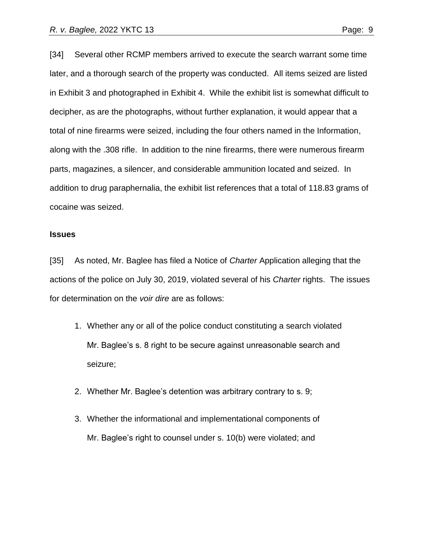[34] Several other RCMP members arrived to execute the search warrant some time later, and a thorough search of the property was conducted. All items seized are listed in Exhibit 3 and photographed in Exhibit 4. While the exhibit list is somewhat difficult to decipher, as are the photographs, without further explanation, it would appear that a total of nine firearms were seized, including the four others named in the Information, along with the .308 rifle. In addition to the nine firearms, there were numerous firearm parts, magazines, a silencer, and considerable ammunition located and seized. In addition to drug paraphernalia, the exhibit list references that a total of 118.83 grams of cocaine was seized.

#### **Issues**

[35] As noted, Mr. Baglee has filed a Notice of *Charter* Application alleging that the actions of the police on July 30, 2019, violated several of his *Charter* rights. The issues for determination on the *voir dire* are as follows:

- 1. Whether any or all of the police conduct constituting a search violated Mr. Baglee's s. 8 right to be secure against unreasonable search and seizure;
- 2. Whether Mr. Baglee's detention was arbitrary contrary to s. 9;
- 3. Whether the informational and implementational components of Mr. Baglee's right to counsel under s. 10(b) were violated; and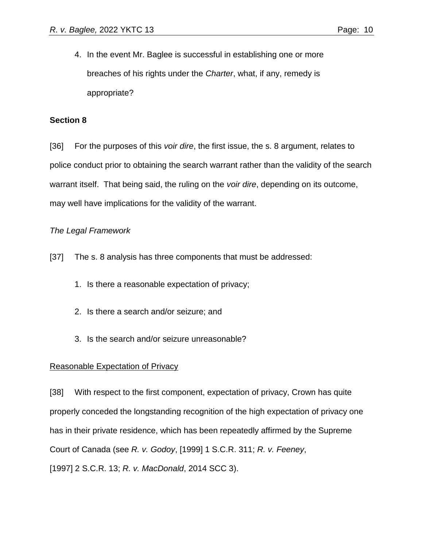appropriate?

# **Section 8**

[36] For the purposes of this *voir dire*, the first issue, the s. 8 argument, relates to police conduct prior to obtaining the search warrant rather than the validity of the search warrant itself. That being said, the ruling on the *voir dire*, depending on its outcome, may well have implications for the validity of the warrant.

# *The Legal Framework*

- [37] The s. 8 analysis has three components that must be addressed:
	- 1. Is there a reasonable expectation of privacy;
	- 2. Is there a search and/or seizure; and
	- 3. Is the search and/or seizure unreasonable?

## Reasonable Expectation of Privacy

[38] With respect to the first component, expectation of privacy, Crown has quite properly conceded the longstanding recognition of the high expectation of privacy one has in their private residence, which has been repeatedly affirmed by the Supreme Court of Canada (see *R. v. Godoy*, [1999] 1 S.C.R. 311; *R. v. Feeney*, [1997] 2 S.C.R. 13; *R. v. MacDonald*, 2014 SCC 3).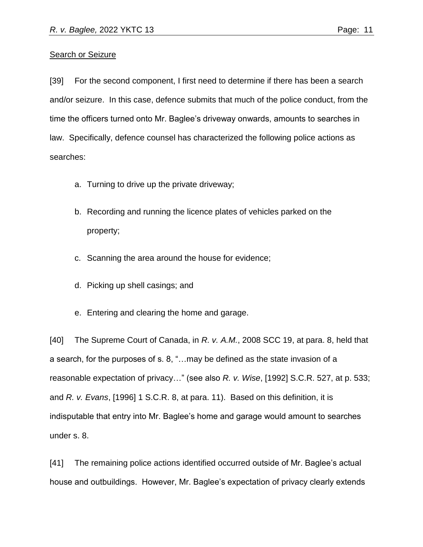## **Search or Seizure**

[39] For the second component, I first need to determine if there has been a search and/or seizure. In this case, defence submits that much of the police conduct, from the time the officers turned onto Mr. Baglee's driveway onwards, amounts to searches in law. Specifically, defence counsel has characterized the following police actions as searches:

- a. Turning to drive up the private driveway;
- b. Recording and running the licence plates of vehicles parked on the property;
- c. Scanning the area around the house for evidence;
- d. Picking up shell casings; and
- e. Entering and clearing the home and garage.

[40] The Supreme Court of Canada, in *R. v. A.M.*, 2008 SCC 19, at para. 8, held that a search, for the purposes of s. 8, "…may be defined as the state invasion of a reasonable expectation of privacy…" (see also *R. v. Wise*, [1992] S.C.R. 527, at p. 533; and *R. v. Evans*, [1996] 1 S.C.R. 8, at para. 11). Based on this definition, it is indisputable that entry into Mr. Baglee's home and garage would amount to searches under s. 8.

[41] The remaining police actions identified occurred outside of Mr. Baglee's actual house and outbuildings. However, Mr. Baglee's expectation of privacy clearly extends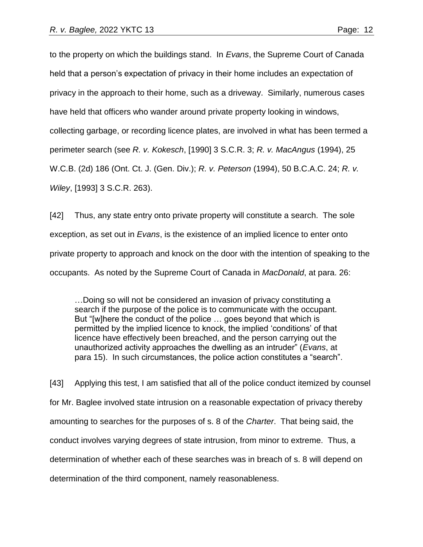to the property on which the buildings stand. In *Evans*, the Supreme Court of Canada held that a person's expectation of privacy in their home includes an expectation of privacy in the approach to their home, such as a driveway. Similarly, numerous cases have held that officers who wander around private property looking in windows, collecting garbage, or recording licence plates, are involved in what has been termed a perimeter search (see *R. v. Kokesch*, [1990] 3 S.C.R. 3; *R. v. MacAngus* (1994), 25 W.C.B. (2d) 186 (Ont. Ct. J. (Gen. Div.); *R. v. Peterson* (1994), 50 B.C.A.C. 24; *R. v. Wiley*, [1993] 3 S.C.R. 263).

[42] Thus, any state entry onto private property will constitute a search. The sole exception, as set out in *Evans*, is the existence of an implied licence to enter onto private property to approach and knock on the door with the intention of speaking to the occupants. As noted by the Supreme Court of Canada in *MacDonald*, at para. 26:

…Doing so will not be considered an invasion of privacy constituting a search if the purpose of the police is to communicate with the occupant. But "[w]here the conduct of the police … goes beyond that which is permitted by the implied licence to knock, the implied 'conditions' of that licence have effectively been breached, and the person carrying out the unauthorized activity approaches the dwelling as an intruder" (*Evans*, at para 15). In such circumstances, the police action constitutes a "search".

[43] Applying this test, I am satisfied that all of the police conduct itemized by counsel for Mr. Baglee involved state intrusion on a reasonable expectation of privacy thereby amounting to searches for the purposes of s. 8 of the *Charter*. That being said, the conduct involves varying degrees of state intrusion, from minor to extreme. Thus, a determination of whether each of these searches was in breach of s. 8 will depend on determination of the third component, namely reasonableness.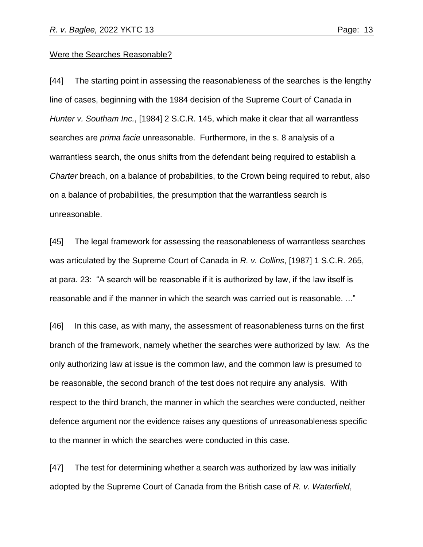#### Were the Searches Reasonable?

[44] The starting point in assessing the reasonableness of the searches is the lengthy line of cases, beginning with the 1984 decision of the Supreme Court of Canada in *Hunter v. Southam Inc.*, [1984] 2 S.C.R. 145, which make it clear that all warrantless searches are *prima facie* unreasonable. Furthermore, in the s. 8 analysis of a warrantless search, the onus shifts from the defendant being required to establish a *Charter* breach, on a balance of probabilities, to the Crown being required to rebut, also on a balance of probabilities, the presumption that the warrantless search is unreasonable.

[45] The legal framework for assessing the reasonableness of warrantless searches was articulated by the Supreme Court of Canada in *R. v. Collins*, [1987] 1 S.C.R. 265, at para. 23: "A search will be reasonable if it is authorized by law, if the law itself is reasonable and if the manner in which the search was carried out is reasonable. ..."

[46] In this case, as with many, the assessment of reasonableness turns on the first branch of the framework, namely whether the searches were authorized by law. As the only authorizing law at issue is the common law, and the common law is presumed to be reasonable, the second branch of the test does not require any analysis. With respect to the third branch, the manner in which the searches were conducted, neither defence argument nor the evidence raises any questions of unreasonableness specific to the manner in which the searches were conducted in this case.

[47] The test for determining whether a search was authorized by law was initially adopted by the Supreme Court of Canada from the British case of *R. v. Waterfield*,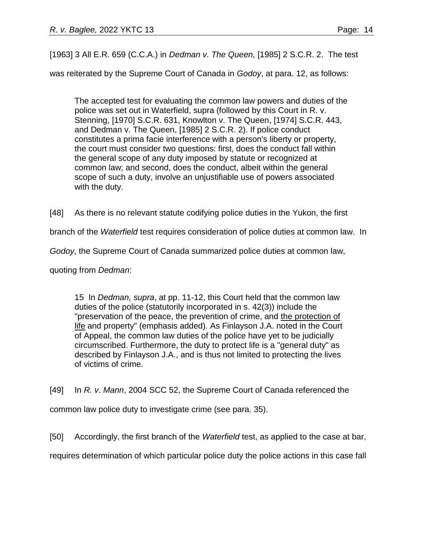[1963] 3 All E.R. 659 (C.C.A.) in *Dedman v. The Queen,* [1985] 2 S.C.R. 2. The test

was reiterated by the Supreme Court of Canada in *Godoy*, at para. 12, as follows:

The accepted test for evaluating the common law powers and duties of the police was set out in Waterfield, supra (followed by this Court in R. v. Stenning, [1970] [S.C.R.](https://advance.lexis.com/search/?pdmfid=1505209&crid=224df4bd-ed7b-4ad7-bef5-0d66af7f5b9f&pdsearchterms=r.+v.+godoy%2C+%5B1998%5D+s.c.j.+no.+85&pdicsfeatureid=1517129&pdstartin=hlct%3A1%3A11&pdcaseshlctselectedbyuser=false&pdtypeofsearch=searchboxclick&pdsearchtype=SearchBox&pdqttype=or&pdpsf=%3A%3A1&pdquerytemplateid=&ecomp=vxkt9kk&earg=pdpsf&prid=72698797-1c3c-4e45-96eb-6627922ac542) 631, Knowlton v. The Queen, [1974] [S.C.R.](https://advance.lexis.com/search/?pdmfid=1505209&crid=224df4bd-ed7b-4ad7-bef5-0d66af7f5b9f&pdsearchterms=r.+v.+godoy%2C+%5B1998%5D+s.c.j.+no.+85&pdicsfeatureid=1517129&pdstartin=hlct%3A1%3A11&pdcaseshlctselectedbyuser=false&pdtypeofsearch=searchboxclick&pdsearchtype=SearchBox&pdqttype=or&pdpsf=%3A%3A1&pdquerytemplateid=&ecomp=vxkt9kk&earg=pdpsf&prid=72698797-1c3c-4e45-96eb-6627922ac542) 443, and Dedman v. The Queen, [1985] 2 [S.C.R.](https://advance.lexis.com/search/?pdmfid=1505209&crid=224df4bd-ed7b-4ad7-bef5-0d66af7f5b9f&pdsearchterms=r.+v.+godoy%2C+%5B1998%5D+s.c.j.+no.+85&pdicsfeatureid=1517129&pdstartin=hlct%3A1%3A11&pdcaseshlctselectedbyuser=false&pdtypeofsearch=searchboxclick&pdsearchtype=SearchBox&pdqttype=or&pdpsf=%3A%3A1&pdquerytemplateid=&ecomp=vxkt9kk&earg=pdpsf&prid=72698797-1c3c-4e45-96eb-6627922ac542) 2). If police conduct constitutes a prima facie interference with a person's liberty or property, the court must consider two questions: first, does the conduct fall within the general scope of any duty imposed by statute or recognized at common law; and second, does the conduct, albeit within the general scope of such a duty, involve an unjustifiable use of powers associated with the duty.

[48] As there is no relevant statute codifying police duties in the Yukon, the first

branch of the *Waterfield* test requires consideration of police duties at common law. In

*Godoy*, the Supreme Court of Canada summarized police duties at common law,

quoting from *Dedman*:

15 In *Dedman, supra*, at pp. 11-12, this Court held that the common law duties of the police (statutorily incorporated in s. 42(3)) include the "preservation of the peace, the prevention of crime, and the protection of life and property" (emphasis added). As Finlayson J.A. noted in the Court of Appeal, the common law duties of the police have yet to be judicially circumscribed. Furthermore, the duty to protect life is a "general duty" as described by Finlayson J.A., and is thus not limited to protecting the lives of victims of crime.

[49] In *R. v. Mann*, 2004 SCC 52, the Supreme Court of Canada referenced the common law police duty to investigate crime (see para. 35).

[50] Accordingly, the first branch of the *Waterfield* test, as applied to the case at bar, requires determination of which particular police duty the police actions in this case fall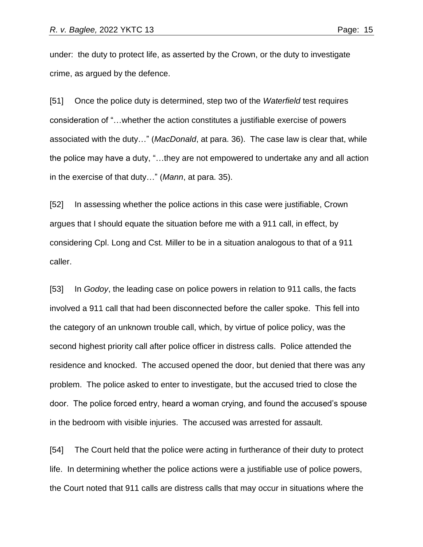under: the duty to protect life, as asserted by the Crown, or the duty to investigate crime, as argued by the defence.

[51] Once the police duty is determined, step two of the *Waterfield* test requires consideration of "…whether the action constitutes a justifiable exercise of powers associated with the duty…" (*MacDonald*, at para. 36). The case law is clear that, while the police may have a duty, "…they are not empowered to undertake any and all action in the exercise of that duty…" (*Mann*, at para. 35).

[52] In assessing whether the police actions in this case were justifiable, Crown argues that I should equate the situation before me with a 911 call, in effect, by considering Cpl. Long and Cst. Miller to be in a situation analogous to that of a 911 caller.

[53] In *Godoy*, the leading case on police powers in relation to 911 calls, the facts involved a 911 call that had been disconnected before the caller spoke. This fell into the category of an unknown trouble call, which, by virtue of police policy, was the second highest priority call after police officer in distress calls. Police attended the residence and knocked. The accused opened the door, but denied that there was any problem. The police asked to enter to investigate, but the accused tried to close the door. The police forced entry, heard a woman crying, and found the accused's spouse in the bedroom with visible injuries. The accused was arrested for assault.

[54] The Court held that the police were acting in furtherance of their duty to protect life. In determining whether the police actions were a justifiable use of police powers, the Court noted that 911 calls are distress calls that may occur in situations where the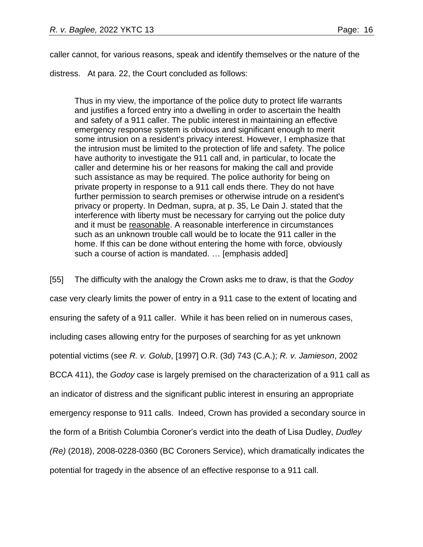caller cannot, for various reasons, speak and identify themselves or the nature of the

distress. At para. 22, the Court concluded as follows:

Thus in my view, the importance of the police duty to protect life warrants and justifies a forced entry into a dwelling in order to ascertain the health and safety of a 911 caller. The public interest in maintaining an effective emergency response system is obvious and significant enough to merit some intrusion on a resident's privacy interest. However, I emphasize that the intrusion must be limited to the protection of life and safety. The police have authority to investigate the 911 call and, in particular, to locate the caller and determine his or her reasons for making the call and provide such assistance as may be required. The police authority for being on private property in response to a 911 call ends there. They do not have further permission to search premises or otherwise intrude on a resident's privacy or property. In Dedman, supra, at p. 35, Le Dain J. stated that the interference with liberty must be necessary for carrying out the police duty and it must be reasonable. A reasonable interference in circumstances such as an unknown trouble call would be to locate the 911 caller in the home. If this can be done without entering the home with force, obviously such a course of action is mandated. … [emphasis added]

[55] The difficulty with the analogy the Crown asks me to draw, is that the *Godoy* case very clearly limits the power of entry in a 911 case to the extent of locating and ensuring the safety of a 911 caller. While it has been relied on in numerous cases, including cases allowing entry for the purposes of searching for as yet unknown potential victims (see *R. v. Golub*, [1997] O.R. (3d) 743 (C.A.); *R. v. Jamieson*, 2002 BCCA 411), the *Godoy* case is largely premised on the characterization of a 911 call as an indicator of distress and the significant public interest in ensuring an appropriate emergency response to 911 calls. Indeed, Crown has provided a secondary source in the form of a British Columbia Coroner's verdict into the death of Lisa Dudley, *Dudley (Re)* (2018), 2008-0228-0360 (BC Coroners Service), which dramatically indicates the potential for tragedy in the absence of an effective response to a 911 call.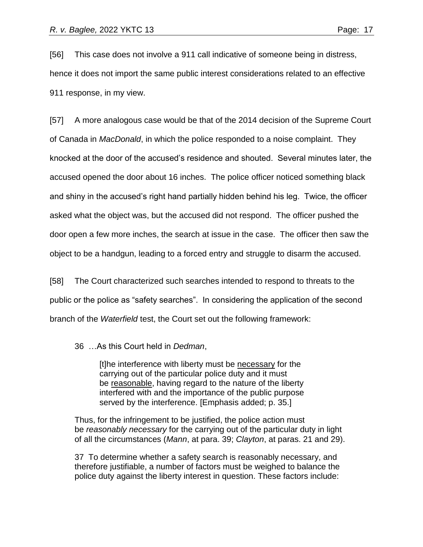[56] This case does not involve a 911 call indicative of someone being in distress, hence it does not import the same public interest considerations related to an effective 911 response, in my view.

[57] A more analogous case would be that of the 2014 decision of the Supreme Court of Canada in *MacDonald*, in which the police responded to a noise complaint. They knocked at the door of the accused's residence and shouted. Several minutes later, the accused opened the door about 16 inches. The police officer noticed something black and shiny in the accused's right hand partially hidden behind his leg. Twice, the officer asked what the object was, but the accused did not respond. The officer pushed the door open a few more inches, the search at issue in the case. The officer then saw the object to be a handgun, leading to a forced entry and struggle to disarm the accused.

[58] The Court characterized such searches intended to respond to threats to the public or the police as "safety searches". In considering the application of the second branch of the *Waterfield* test, the Court set out the following framework:

36 …As this Court held in *Dedman*,

[t]he interference with liberty must be necessary for the carrying out of the particular police duty and it must be reasonable, having regard to the nature of the liberty interfered with and the importance of the public purpose served by the interference. [Emphasis added; p. 35.]

Thus, for the infringement to be justified, the police action must be *reasonably necessary* for the carrying out of the particular duty in light of all the circumstances (*Mann*, at para. 39; *Clayton*, at paras. 21 and 29).

37 To determine whether a safety search is reasonably necessary, and therefore justifiable, a number of factors must be weighed to balance the police duty against the liberty interest in question. These factors include: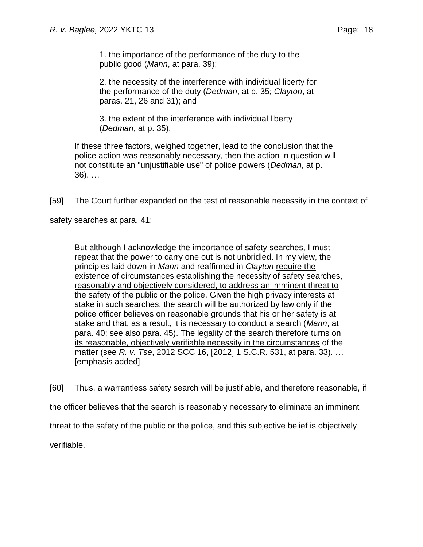1. the importance of the performance of the duty to the public good (*Mann*, at para. 39);

2. the necessity of the interference with individual liberty for the performance of the duty (*Dedman*, at p. 35; *Clayton*, at paras. 21, 26 and 31); and

3. the extent of the interference with individual liberty (*Dedman*, at p. 35).

If these three factors, weighed together, lead to the conclusion that the police action was reasonably necessary, then the action in question will not constitute an "unjustifiable use" of police powers (*Dedman*, at p. 36). …

[59] The Court further expanded on the test of reasonable necessity in the context of

safety searches at para. 41:

But although I acknowledge the importance of safety searches, I must repeat that the power to carry one out is not unbridled. In my view, the principles laid down in *Mann* and reaffirmed in *Clayton* require the existence of circumstances establishing the necessity of safety searches, reasonably and objectively considered, to address an imminent threat to the safety of the public or the police. Given the high privacy interests at stake in such searches, the search will be authorized by law only if the police officer believes on reasonable grounds that his or her safety is at stake and that, as a result, it is necessary to conduct a search (*Mann*, at para. 40; see also para. 45). The legality of the search therefore turns on its reasonable, objectively verifiable necessity in the circumstances of the matter (see *R. v. Tse*, [2012](https://advance.lexis.com/search/?pdmfid=1505209&crid=d41dc128-5c78-4ac7-8d90-e792c8cdf171&pdsearchterms=r.+v.+macdonald%2C+%5B2014%5D+1+s.c.r.+37&pdicsfeatureid=1517129&pdstartin=hlct%3A1%3A11&pdcaseshlctselectedbyuser=false&pdtypeofsearch=searchboxclick&pdsearchtype=SearchBox&pdqttype=and&pdquerytemplateid=&ecomp=r3n8k&prid=e02991b7-81d2-477d-bf8e-17b3bfe6c760) SCC 16, [2012] 1 [S.C.R.](https://advance.lexis.com/search/?pdmfid=1505209&crid=d41dc128-5c78-4ac7-8d90-e792c8cdf171&pdsearchterms=r.+v.+macdonald%2C+%5B2014%5D+1+s.c.r.+37&pdicsfeatureid=1517129&pdstartin=hlct%3A1%3A11&pdcaseshlctselectedbyuser=false&pdtypeofsearch=searchboxclick&pdsearchtype=SearchBox&pdqttype=and&pdquerytemplateid=&ecomp=r3n8k&prid=e02991b7-81d2-477d-bf8e-17b3bfe6c760) 531, at para. 33). … [emphasis added]

[60] Thus, a warrantless safety search will be justifiable, and therefore reasonable, if the officer believes that the search is reasonably necessary to eliminate an imminent threat to the safety of the public or the police, and this subjective belief is objectively verifiable.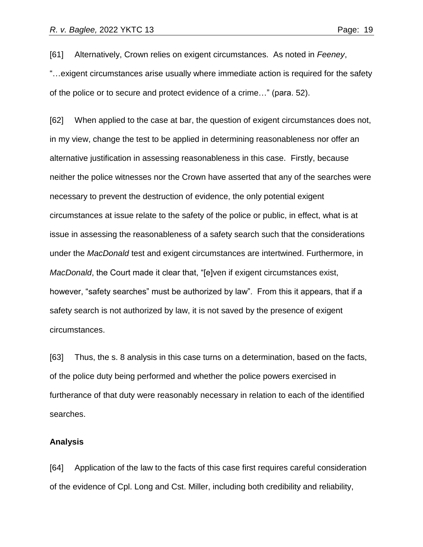[61] Alternatively, Crown relies on exigent circumstances. As noted in *Feeney*, "…exigent circumstances arise usually where immediate action is required for the safety of the police or to secure and protect evidence of a crime…" (para. 52).

[62] When applied to the case at bar, the question of exigent circumstances does not, in my view, change the test to be applied in determining reasonableness nor offer an alternative justification in assessing reasonableness in this case. Firstly, because neither the police witnesses nor the Crown have asserted that any of the searches were necessary to prevent the destruction of evidence, the only potential exigent circumstances at issue relate to the safety of the police or public, in effect, what is at issue in assessing the reasonableness of a safety search such that the considerations under the *MacDonald* test and exigent circumstances are intertwined. Furthermore, in *MacDonald*, the Court made it clear that, "[e]ven if exigent circumstances exist, however, "safety searches" must be authorized by law". From this it appears, that if a safety search is not authorized by law, it is not saved by the presence of exigent circumstances.

[63] Thus, the s. 8 analysis in this case turns on a determination, based on the facts, of the police duty being performed and whether the police powers exercised in furtherance of that duty were reasonably necessary in relation to each of the identified searches.

### **Analysis**

[64] Application of the law to the facts of this case first requires careful consideration of the evidence of Cpl. Long and Cst. Miller, including both credibility and reliability,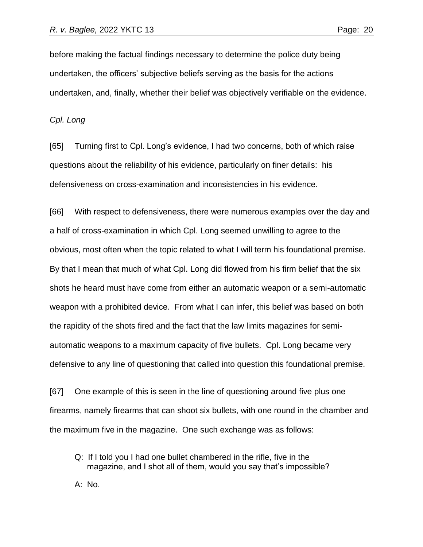before making the factual findings necessary to determine the police duty being undertaken, the officers' subjective beliefs serving as the basis for the actions undertaken, and, finally, whether their belief was objectively verifiable on the evidence.

*Cpl. Long*

[65] Turning first to Cpl. Long's evidence, I had two concerns, both of which raise questions about the reliability of his evidence, particularly on finer details: his defensiveness on cross-examination and inconsistencies in his evidence.

[66] With respect to defensiveness, there were numerous examples over the day and a half of cross-examination in which Cpl. Long seemed unwilling to agree to the obvious, most often when the topic related to what I will term his foundational premise. By that I mean that much of what Cpl. Long did flowed from his firm belief that the six shots he heard must have come from either an automatic weapon or a semi-automatic weapon with a prohibited device. From what I can infer, this belief was based on both the rapidity of the shots fired and the fact that the law limits magazines for semiautomatic weapons to a maximum capacity of five bullets. Cpl. Long became very defensive to any line of questioning that called into question this foundational premise.

[67] One example of this is seen in the line of questioning around five plus one firearms, namely firearms that can shoot six bullets, with one round in the chamber and the maximum five in the magazine. One such exchange was as follows:

Q: If I told you I had one bullet chambered in the rifle, five in the magazine, and I shot all of them, would you say that's impossible?

A: No.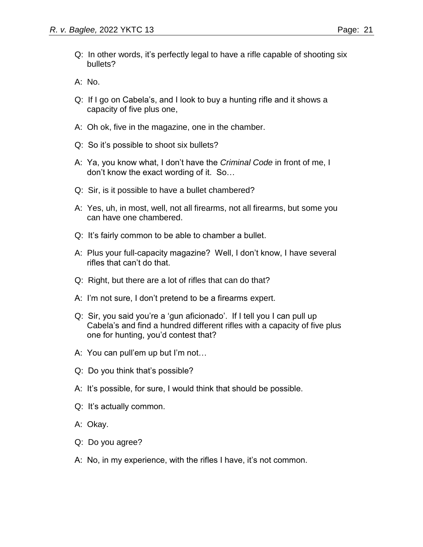- Q: In other words, it's perfectly legal to have a rifle capable of shooting six bullets?
- A: No.
- Q: If I go on Cabela's, and I look to buy a hunting rifle and it shows a capacity of five plus one,
- A: Oh ok, five in the magazine, one in the chamber.
- Q: So it's possible to shoot six bullets?
- A: Ya, you know what, I don't have the *Criminal Code* in front of me, I don't know the exact wording of it. So…
- Q: Sir, is it possible to have a bullet chambered?
- A: Yes, uh, in most, well, not all firearms, not all firearms, but some you can have one chambered.
- Q: It's fairly common to be able to chamber a bullet.
- A: Plus your full-capacity magazine? Well, I don't know, I have several rifles that can't do that.
- Q: Right, but there are a lot of rifles that can do that?
- A: I'm not sure, I don't pretend to be a firearms expert.
- Q: Sir, you said you're a 'gun aficionado'. If I tell you I can pull up Cabela's and find a hundred different rifles with a capacity of five plus one for hunting, you'd contest that?
- A: You can pull'em up but I'm not…
- Q: Do you think that's possible?
- A: It's possible, for sure, I would think that should be possible.
- Q: It's actually common.
- A: Okay.
- Q: Do you agree?
- A: No, in my experience, with the rifles I have, it's not common.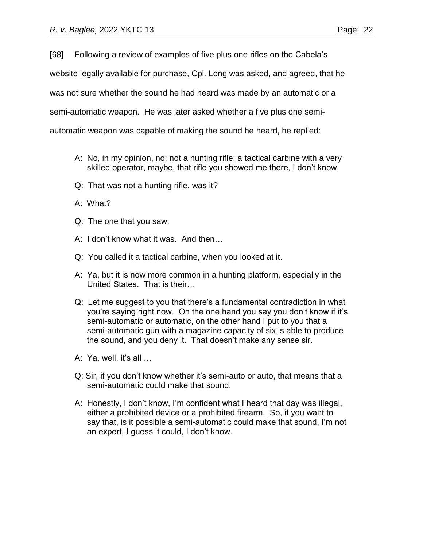[68] Following a review of examples of five plus one rifles on the Cabela's

website legally available for purchase, Cpl. Long was asked, and agreed, that he

was not sure whether the sound he had heard was made by an automatic or a

semi-automatic weapon. He was later asked whether a five plus one semi-

automatic weapon was capable of making the sound he heard, he replied:

- A: No, in my opinion, no; not a hunting rifle; a tactical carbine with a very skilled operator, maybe, that rifle you showed me there, I don't know.
- Q: That was not a hunting rifle, was it?
- A: What?
- Q: The one that you saw.
- A: I don't know what it was. And then…
- Q: You called it a tactical carbine, when you looked at it.
- A: Ya, but it is now more common in a hunting platform, especially in the United States. That is their…
- Q: Let me suggest to you that there's a fundamental contradiction in what you're saying right now. On the one hand you say you don't know if it's semi-automatic or automatic, on the other hand I put to you that a semi-automatic gun with a magazine capacity of six is able to produce the sound, and you deny it. That doesn't make any sense sir.
- A: Ya, well, it's all …
- Q: Sir, if you don't know whether it's semi-auto or auto, that means that a semi-automatic could make that sound.
- A: Honestly, I don't know, I'm confident what I heard that day was illegal, either a prohibited device or a prohibited firearm. So, if you want to say that, is it possible a semi-automatic could make that sound, I'm not an expert, I guess it could, I don't know.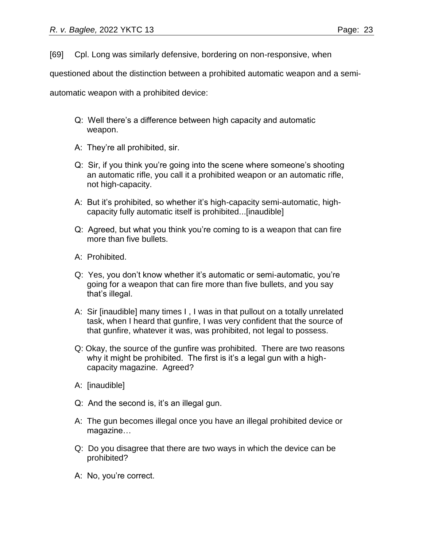[69] Cpl. Long was similarly defensive, bordering on non-responsive, when

questioned about the distinction between a prohibited automatic weapon and a semi-

automatic weapon with a prohibited device:

- Q: Well there's a difference between high capacity and automatic weapon.
- A: They're all prohibited, sir.
- Q: Sir, if you think you're going into the scene where someone's shooting an automatic rifle, you call it a prohibited weapon or an automatic rifle, not high-capacity.
- A: But it's prohibited, so whether it's high-capacity semi-automatic, highcapacity fully automatic itself is prohibited...[inaudible]
- Q: Agreed, but what you think you're coming to is a weapon that can fire more than five bullets.
- A: Prohibited.
- Q: Yes, you don't know whether it's automatic or semi-automatic, you're going for a weapon that can fire more than five bullets, and you say that's illegal.
- A: Sir [inaudible] many times I , I was in that pullout on a totally unrelated task, when I heard that gunfire, I was very confident that the source of that gunfire, whatever it was, was prohibited, not legal to possess.
- Q: Okay, the source of the gunfire was prohibited. There are two reasons why it might be prohibited. The first is it's a legal gun with a highcapacity magazine. Agreed?
- A: [inaudible]
- Q: And the second is, it's an illegal gun.
- A: The gun becomes illegal once you have an illegal prohibited device or magazine…
- Q: Do you disagree that there are two ways in which the device can be prohibited?
- A: No, you're correct.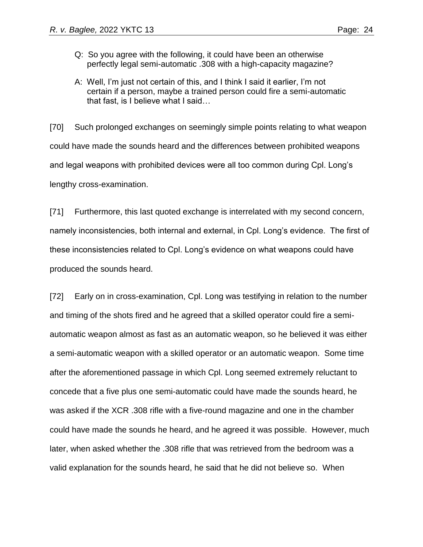- Q: So you agree with the following, it could have been an otherwise perfectly legal semi-automatic .308 with a high-capacity magazine?
- A: Well, I'm just not certain of this, and I think I said it earlier, I'm not certain if a person, maybe a trained person could fire a semi-automatic that fast, is I believe what I said…

[70] Such prolonged exchanges on seemingly simple points relating to what weapon could have made the sounds heard and the differences between prohibited weapons and legal weapons with prohibited devices were all too common during Cpl. Long's lengthy cross-examination.

[71] Furthermore, this last quoted exchange is interrelated with my second concern, namely inconsistencies, both internal and external, in Cpl. Long's evidence. The first of these inconsistencies related to Cpl. Long's evidence on what weapons could have produced the sounds heard.

[72] Early on in cross-examination, Cpl. Long was testifying in relation to the number and timing of the shots fired and he agreed that a skilled operator could fire a semiautomatic weapon almost as fast as an automatic weapon, so he believed it was either a semi-automatic weapon with a skilled operator or an automatic weapon. Some time after the aforementioned passage in which Cpl. Long seemed extremely reluctant to concede that a five plus one semi-automatic could have made the sounds heard, he was asked if the XCR .308 rifle with a five-round magazine and one in the chamber could have made the sounds he heard, and he agreed it was possible. However, much later, when asked whether the .308 rifle that was retrieved from the bedroom was a valid explanation for the sounds heard, he said that he did not believe so. When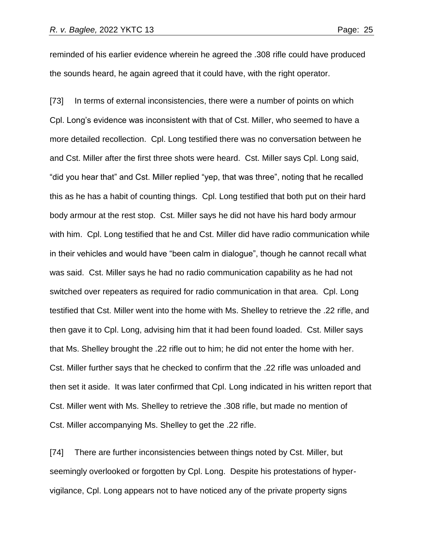reminded of his earlier evidence wherein he agreed the .308 rifle could have produced the sounds heard, he again agreed that it could have, with the right operator.

[73] In terms of external inconsistencies, there were a number of points on which Cpl. Long's evidence was inconsistent with that of Cst. Miller, who seemed to have a more detailed recollection. Cpl. Long testified there was no conversation between he and Cst. Miller after the first three shots were heard. Cst. Miller says Cpl. Long said, "did you hear that" and Cst. Miller replied "yep, that was three", noting that he recalled this as he has a habit of counting things. Cpl. Long testified that both put on their hard body armour at the rest stop. Cst. Miller says he did not have his hard body armour with him. Cpl. Long testified that he and Cst. Miller did have radio communication while in their vehicles and would have "been calm in dialogue", though he cannot recall what was said. Cst. Miller says he had no radio communication capability as he had not switched over repeaters as required for radio communication in that area. Cpl. Long testified that Cst. Miller went into the home with Ms. Shelley to retrieve the .22 rifle, and then gave it to Cpl. Long, advising him that it had been found loaded. Cst. Miller says that Ms. Shelley brought the .22 rifle out to him; he did not enter the home with her. Cst. Miller further says that he checked to confirm that the .22 rifle was unloaded and then set it aside. It was later confirmed that Cpl. Long indicated in his written report that Cst. Miller went with Ms. Shelley to retrieve the .308 rifle, but made no mention of Cst. Miller accompanying Ms. Shelley to get the .22 rifle.

[74] There are further inconsistencies between things noted by Cst. Miller, but seemingly overlooked or forgotten by Cpl. Long. Despite his protestations of hypervigilance, Cpl. Long appears not to have noticed any of the private property signs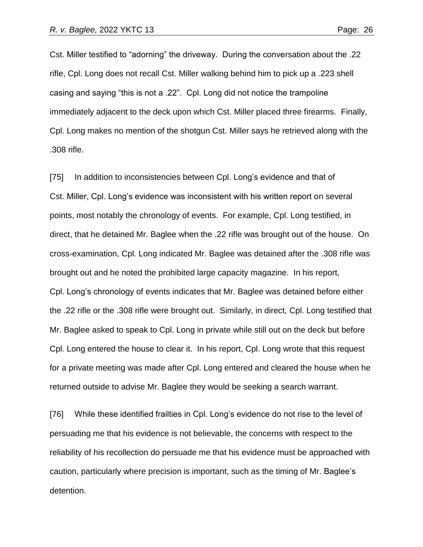Cst. Miller testified to "adorning" the driveway. During the conversation about the .22 rifle, Cpl. Long does not recall Cst. Miller walking behind him to pick up a .223 shell casing and saying "this is not a .22". Cpl. Long did not notice the trampoline immediately adjacent to the deck upon which Cst. Miller placed three firearms. Finally, Cpl. Long makes no mention of the shotgun Cst. Miller says he retrieved along with the .308 rifle.

[75] In addition to inconsistencies between Cpl. Long's evidence and that of Cst. Miller, Cpl. Long's evidence was inconsistent with his written report on several points, most notably the chronology of events. For example, Cpl. Long testified, in direct, that he detained Mr. Baglee when the .22 rifle was brought out of the house. On cross-examination, Cpl. Long indicated Mr. Baglee was detained after the .308 rifle was brought out and he noted the prohibited large capacity magazine. In his report, Cpl. Long's chronology of events indicates that Mr. Baglee was detained before either the .22 rifle or the .308 rifle were brought out. Similarly, in direct, Cpl. Long testified that Mr. Baglee asked to speak to Cpl. Long in private while still out on the deck but before Cpl. Long entered the house to clear it. In his report, Cpl. Long wrote that this request for a private meeting was made after Cpl. Long entered and cleared the house when he returned outside to advise Mr. Baglee they would be seeking a search warrant.

[76] While these identified frailties in Cpl. Long's evidence do not rise to the level of persuading me that his evidence is not believable, the concerns with respect to the reliability of his recollection do persuade me that his evidence must be approached with caution, particularly where precision is important, such as the timing of Mr. Baglee's detention.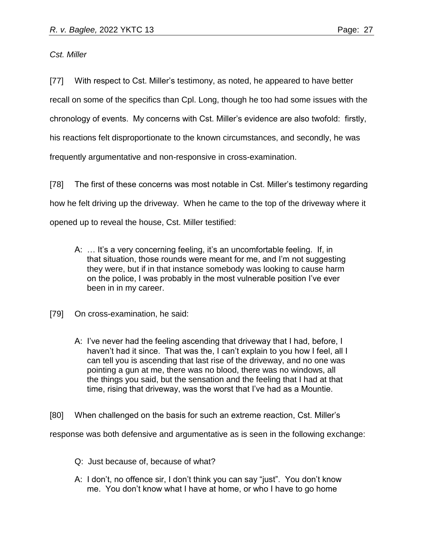*Cst. Miller*

[77] With respect to Cst. Miller's testimony, as noted, he appeared to have better recall on some of the specifics than Cpl. Long, though he too had some issues with the chronology of events. My concerns with Cst. Miller's evidence are also twofold: firstly, his reactions felt disproportionate to the known circumstances, and secondly, he was frequently argumentative and non-responsive in cross-examination.

[78] The first of these concerns was most notable in Cst. Miller's testimony regarding how he felt driving up the driveway. When he came to the top of the driveway where it opened up to reveal the house, Cst. Miller testified:

- A: … It's a very concerning feeling, it's an uncomfortable feeling. If, in that situation, those rounds were meant for me, and I'm not suggesting they were, but if in that instance somebody was looking to cause harm on the police, I was probably in the most vulnerable position I've ever been in in my career.
- [79] On cross-examination, he said:
	- A: I've never had the feeling ascending that driveway that I had, before, I haven't had it since. That was the, I can't explain to you how I feel, all I can tell you is ascending that last rise of the driveway, and no one was pointing a gun at me, there was no blood, there was no windows, all the things you said, but the sensation and the feeling that I had at that time, rising that driveway, was the worst that I've had as a Mountie.
- [80] When challenged on the basis for such an extreme reaction, Cst. Miller's

response was both defensive and argumentative as is seen in the following exchange:

- Q: Just because of, because of what?
- A: I don't, no offence sir, I don't think you can say "just". You don't know me. You don't know what I have at home, or who I have to go home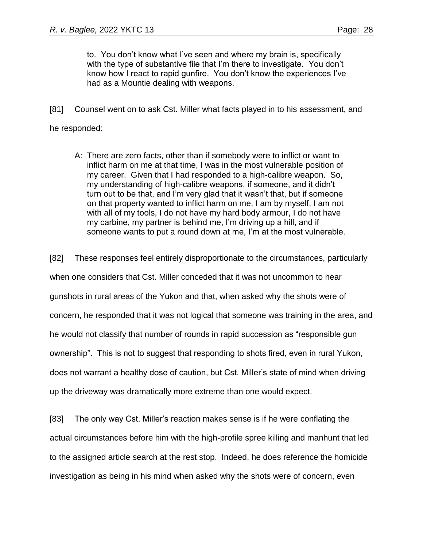to. You don't know what I've seen and where my brain is, specifically with the type of substantive file that I'm there to investigate. You don't know how I react to rapid gunfire. You don't know the experiences I've had as a Mountie dealing with weapons.

[81] Counsel went on to ask Cst. Miller what facts played in to his assessment, and

he responded:

A: There are zero facts, other than if somebody were to inflict or want to inflict harm on me at that time, I was in the most vulnerable position of my career. Given that I had responded to a high-calibre weapon. So, my understanding of high-calibre weapons, if someone, and it didn't turn out to be that, and I'm very glad that it wasn't that, but if someone on that property wanted to inflict harm on me, I am by myself, I am not with all of my tools, I do not have my hard body armour, I do not have my carbine, my partner is behind me, I'm driving up a hill, and if someone wants to put a round down at me, I'm at the most vulnerable.

[82] These responses feel entirely disproportionate to the circumstances, particularly when one considers that Cst. Miller conceded that it was not uncommon to hear gunshots in rural areas of the Yukon and that, when asked why the shots were of concern, he responded that it was not logical that someone was training in the area, and he would not classify that number of rounds in rapid succession as "responsible gun ownership". This is not to suggest that responding to shots fired, even in rural Yukon, does not warrant a healthy dose of caution, but Cst. Miller's state of mind when driving up the driveway was dramatically more extreme than one would expect.

[83] The only way Cst. Miller's reaction makes sense is if he were conflating the actual circumstances before him with the high-profile spree killing and manhunt that led to the assigned article search at the rest stop. Indeed, he does reference the homicide investigation as being in his mind when asked why the shots were of concern, even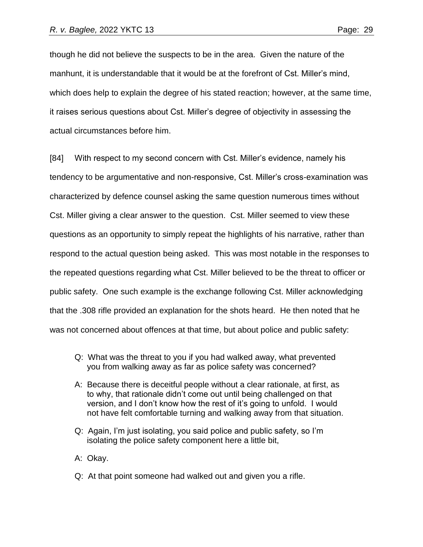though he did not believe the suspects to be in the area. Given the nature of the manhunt, it is understandable that it would be at the forefront of Cst. Miller's mind, which does help to explain the degree of his stated reaction; however, at the same time, it raises serious questions about Cst. Miller's degree of objectivity in assessing the actual circumstances before him.

[84] With respect to my second concern with Cst. Miller's evidence, namely his tendency to be argumentative and non-responsive, Cst. Miller's cross-examination was characterized by defence counsel asking the same question numerous times without Cst. Miller giving a clear answer to the question. Cst. Miller seemed to view these questions as an opportunity to simply repeat the highlights of his narrative, rather than respond to the actual question being asked. This was most notable in the responses to the repeated questions regarding what Cst. Miller believed to be the threat to officer or public safety. One such example is the exchange following Cst. Miller acknowledging that the .308 rifle provided an explanation for the shots heard. He then noted that he was not concerned about offences at that time, but about police and public safety:

- Q: What was the threat to you if you had walked away, what prevented you from walking away as far as police safety was concerned?
- A: Because there is deceitful people without a clear rationale, at first, as to why, that rationale didn't come out until being challenged on that version, and I don't know how the rest of it's going to unfold. I would not have felt comfortable turning and walking away from that situation.
- Q: Again, I'm just isolating, you said police and public safety, so I'm isolating the police safety component here a little bit,
- A: Okay.
- Q: At that point someone had walked out and given you a rifle.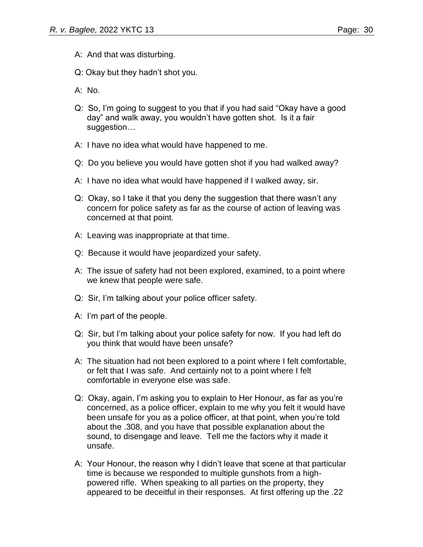- A: And that was disturbing.
- Q: Okay but they hadn't shot you.
- A: No.
- Q: So, I'm going to suggest to you that if you had said "Okay have a good day" and walk away, you wouldn't have gotten shot. Is it a fair suggestion…
- A: I have no idea what would have happened to me.
- Q: Do you believe you would have gotten shot if you had walked away?
- A: I have no idea what would have happened if I walked away, sir.
- Q: Okay, so I take it that you deny the suggestion that there wasn't any concern for police safety as far as the course of action of leaving was concerned at that point.
- A: Leaving was inappropriate at that time.
- Q: Because it would have jeopardized your safety.
- A: The issue of safety had not been explored, examined, to a point where we knew that people were safe.
- Q: Sir, I'm talking about your police officer safety.
- A: I'm part of the people.
- Q: Sir, but I'm talking about your police safety for now. If you had left do you think that would have been unsafe?
- A: The situation had not been explored to a point where I felt comfortable, or felt that I was safe. And certainly not to a point where I felt comfortable in everyone else was safe.
- Q: Okay, again, I'm asking you to explain to Her Honour, as far as you're concerned, as a police officer, explain to me why you felt it would have been unsafe for you as a police officer, at that point, when you're told about the .308, and you have that possible explanation about the sound, to disengage and leave. Tell me the factors why it made it unsafe.
- A: Your Honour, the reason why I didn't leave that scene at that particular time is because we responded to multiple gunshots from a highpowered rifle. When speaking to all parties on the property, they appeared to be deceitful in their responses. At first offering up the .22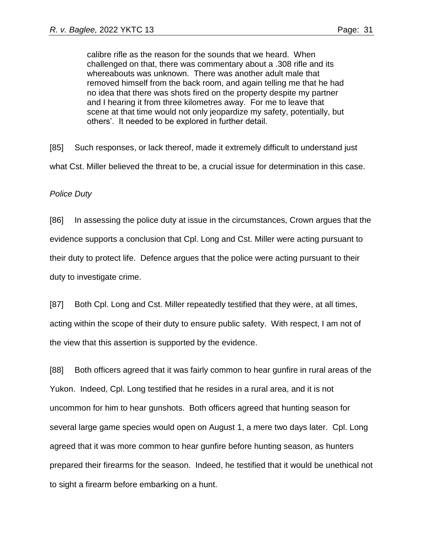calibre rifle as the reason for the sounds that we heard. When challenged on that, there was commentary about a .308 rifle and its whereabouts was unknown. There was another adult male that removed himself from the back room, and again telling me that he had no idea that there was shots fired on the property despite my partner and I hearing it from three kilometres away. For me to leave that scene at that time would not only jeopardize my safety, potentially, but others'. It needed to be explored in further detail.

[85] Such responses, or lack thereof, made it extremely difficult to understand just what Cst. Miller believed the threat to be, a crucial issue for determination in this case.

### *Police Duty*

[86] In assessing the police duty at issue in the circumstances, Crown argues that the evidence supports a conclusion that Cpl. Long and Cst. Miller were acting pursuant to their duty to protect life. Defence argues that the police were acting pursuant to their duty to investigate crime.

[87] Both Cpl. Long and Cst. Miller repeatedly testified that they were, at all times, acting within the scope of their duty to ensure public safety. With respect, I am not of the view that this assertion is supported by the evidence.

[88] Both officers agreed that it was fairly common to hear gunfire in rural areas of the Yukon. Indeed, Cpl. Long testified that he resides in a rural area, and it is not uncommon for him to hear gunshots. Both officers agreed that hunting season for several large game species would open on August 1, a mere two days later. Cpl. Long agreed that it was more common to hear gunfire before hunting season, as hunters prepared their firearms for the season. Indeed, he testified that it would be unethical not to sight a firearm before embarking on a hunt.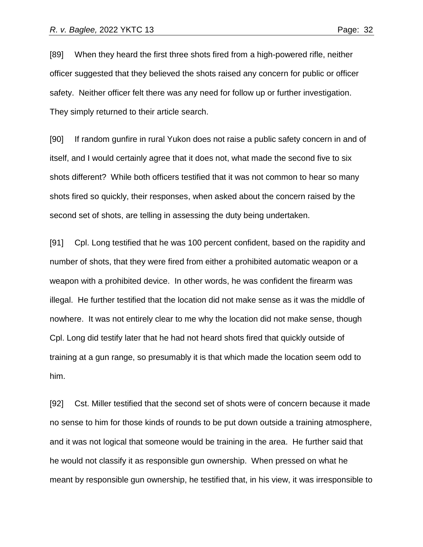[89] When they heard the first three shots fired from a high-powered rifle, neither officer suggested that they believed the shots raised any concern for public or officer safety. Neither officer felt there was any need for follow up or further investigation. They simply returned to their article search.

[90] If random gunfire in rural Yukon does not raise a public safety concern in and of itself, and I would certainly agree that it does not, what made the second five to six shots different? While both officers testified that it was not common to hear so many shots fired so quickly, their responses, when asked about the concern raised by the second set of shots, are telling in assessing the duty being undertaken.

[91] Cpl. Long testified that he was 100 percent confident, based on the rapidity and number of shots, that they were fired from either a prohibited automatic weapon or a weapon with a prohibited device. In other words, he was confident the firearm was illegal. He further testified that the location did not make sense as it was the middle of nowhere. It was not entirely clear to me why the location did not make sense, though Cpl. Long did testify later that he had not heard shots fired that quickly outside of training at a gun range, so presumably it is that which made the location seem odd to him.

[92] Cst. Miller testified that the second set of shots were of concern because it made no sense to him for those kinds of rounds to be put down outside a training atmosphere, and it was not logical that someone would be training in the area. He further said that he would not classify it as responsible gun ownership. When pressed on what he meant by responsible gun ownership, he testified that, in his view, it was irresponsible to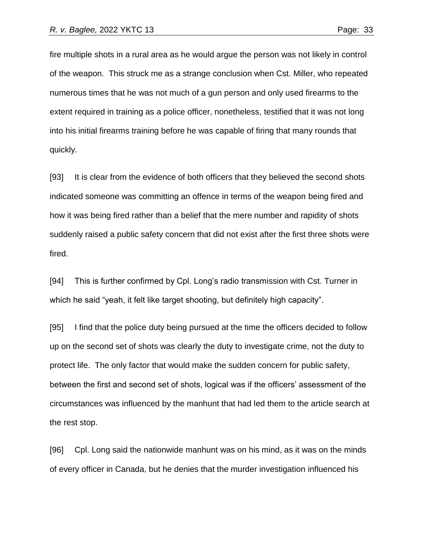fire multiple shots in a rural area as he would argue the person was not likely in control of the weapon. This struck me as a strange conclusion when Cst. Miller, who repeated numerous times that he was not much of a gun person and only used firearms to the extent required in training as a police officer, nonetheless, testified that it was not long into his initial firearms training before he was capable of firing that many rounds that quickly.

[93] It is clear from the evidence of both officers that they believed the second shots indicated someone was committing an offence in terms of the weapon being fired and how it was being fired rather than a belief that the mere number and rapidity of shots suddenly raised a public safety concern that did not exist after the first three shots were fired.

[94] This is further confirmed by Cpl. Long's radio transmission with Cst. Turner in which he said "yeah, it felt like target shooting, but definitely high capacity".

[95] I find that the police duty being pursued at the time the officers decided to follow up on the second set of shots was clearly the duty to investigate crime, not the duty to protect life. The only factor that would make the sudden concern for public safety, between the first and second set of shots, logical was if the officers' assessment of the circumstances was influenced by the manhunt that had led them to the article search at the rest stop.

[96] Cpl. Long said the nationwide manhunt was on his mind, as it was on the minds of every officer in Canada, but he denies that the murder investigation influenced his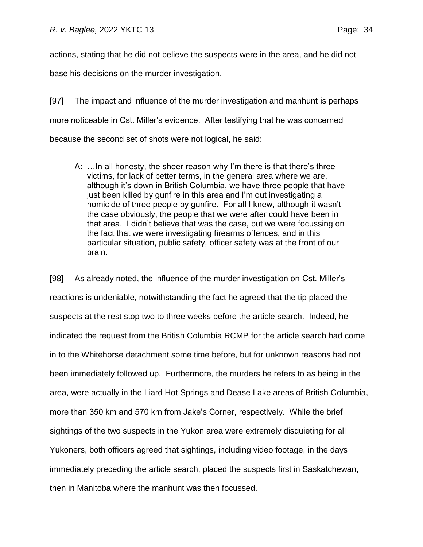actions, stating that he did not believe the suspects were in the area, and he did not

base his decisions on the murder investigation.

[97] The impact and influence of the murder investigation and manhunt is perhaps more noticeable in Cst. Miller's evidence. After testifying that he was concerned because the second set of shots were not logical, he said:

A: …In all honesty, the sheer reason why I'm there is that there's three victims, for lack of better terms, in the general area where we are, although it's down in British Columbia, we have three people that have just been killed by gunfire in this area and I'm out investigating a homicide of three people by gunfire. For all I knew, although it wasn't the case obviously, the people that we were after could have been in that area. I didn't believe that was the case, but we were focussing on the fact that we were investigating firearms offences, and in this particular situation, public safety, officer safety was at the front of our brain.

[98] As already noted, the influence of the murder investigation on Cst. Miller's reactions is undeniable, notwithstanding the fact he agreed that the tip placed the suspects at the rest stop two to three weeks before the article search. Indeed, he indicated the request from the British Columbia RCMP for the article search had come in to the Whitehorse detachment some time before, but for unknown reasons had not been immediately followed up. Furthermore, the murders he refers to as being in the area, were actually in the Liard Hot Springs and Dease Lake areas of British Columbia, more than 350 km and 570 km from Jake's Corner, respectively. While the brief sightings of the two suspects in the Yukon area were extremely disquieting for all Yukoners, both officers agreed that sightings, including video footage, in the days immediately preceding the article search, placed the suspects first in Saskatchewan, then in Manitoba where the manhunt was then focussed.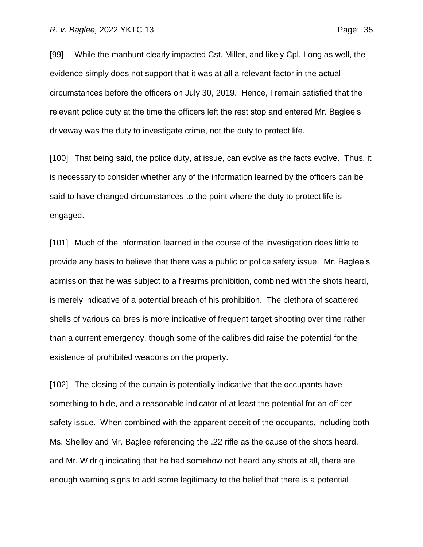[99] While the manhunt clearly impacted Cst. Miller, and likely Cpl. Long as well, the evidence simply does not support that it was at all a relevant factor in the actual circumstances before the officers on July 30, 2019. Hence, I remain satisfied that the relevant police duty at the time the officers left the rest stop and entered Mr. Baglee's driveway was the duty to investigate crime, not the duty to protect life.

[100] That being said, the police duty, at issue, can evolve as the facts evolve. Thus, it is necessary to consider whether any of the information learned by the officers can be said to have changed circumstances to the point where the duty to protect life is engaged.

[101] Much of the information learned in the course of the investigation does little to provide any basis to believe that there was a public or police safety issue. Mr. Baglee's admission that he was subject to a firearms prohibition, combined with the shots heard, is merely indicative of a potential breach of his prohibition. The plethora of scattered shells of various calibres is more indicative of frequent target shooting over time rather than a current emergency, though some of the calibres did raise the potential for the existence of prohibited weapons on the property.

[102] The closing of the curtain is potentially indicative that the occupants have something to hide, and a reasonable indicator of at least the potential for an officer safety issue. When combined with the apparent deceit of the occupants, including both Ms. Shelley and Mr. Baglee referencing the .22 rifle as the cause of the shots heard, and Mr. Widrig indicating that he had somehow not heard any shots at all, there are enough warning signs to add some legitimacy to the belief that there is a potential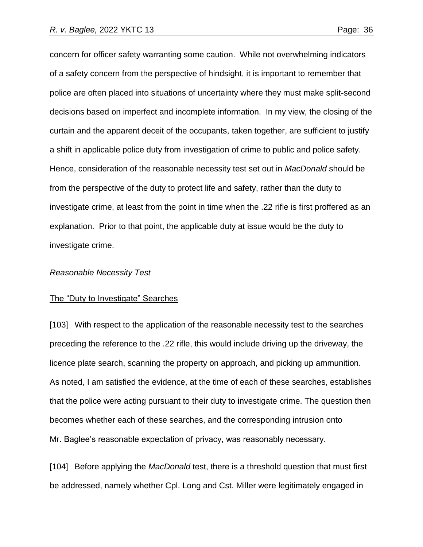concern for officer safety warranting some caution. While not overwhelming indicators of a safety concern from the perspective of hindsight, it is important to remember that police are often placed into situations of uncertainty where they must make split-second decisions based on imperfect and incomplete information. In my view, the closing of the curtain and the apparent deceit of the occupants, taken together, are sufficient to justify a shift in applicable police duty from investigation of crime to public and police safety. Hence, consideration of the reasonable necessity test set out in *MacDonald* should be from the perspective of the duty to protect life and safety, rather than the duty to investigate crime, at least from the point in time when the .22 rifle is first proffered as an explanation. Prior to that point, the applicable duty at issue would be the duty to investigate crime.

#### *Reasonable Necessity Test*

#### The "Duty to Investigate" Searches

[103] With respect to the application of the reasonable necessity test to the searches preceding the reference to the .22 rifle, this would include driving up the driveway, the licence plate search, scanning the property on approach, and picking up ammunition. As noted, I am satisfied the evidence, at the time of each of these searches, establishes that the police were acting pursuant to their duty to investigate crime. The question then becomes whether each of these searches, and the corresponding intrusion onto Mr. Baglee's reasonable expectation of privacy, was reasonably necessary.

[104] Before applying the *MacDonald* test, there is a threshold question that must first be addressed, namely whether Cpl. Long and Cst. Miller were legitimately engaged in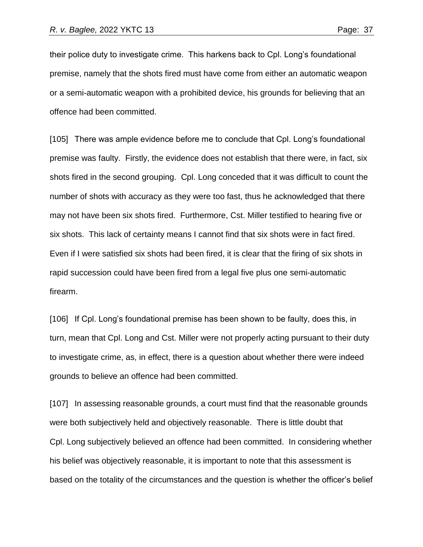their police duty to investigate crime. This harkens back to Cpl. Long's foundational premise, namely that the shots fired must have come from either an automatic weapon or a semi-automatic weapon with a prohibited device, his grounds for believing that an offence had been committed.

[105] There was ample evidence before me to conclude that Cpl. Long's foundational premise was faulty. Firstly, the evidence does not establish that there were, in fact, six shots fired in the second grouping. Cpl. Long conceded that it was difficult to count the number of shots with accuracy as they were too fast, thus he acknowledged that there may not have been six shots fired. Furthermore, Cst. Miller testified to hearing five or six shots. This lack of certainty means I cannot find that six shots were in fact fired. Even if I were satisfied six shots had been fired, it is clear that the firing of six shots in rapid succession could have been fired from a legal five plus one semi-automatic firearm.

[106] If Cpl. Long's foundational premise has been shown to be faulty, does this, in turn, mean that Cpl. Long and Cst. Miller were not properly acting pursuant to their duty to investigate crime, as, in effect, there is a question about whether there were indeed grounds to believe an offence had been committed.

[107] In assessing reasonable grounds, a court must find that the reasonable grounds were both subjectively held and objectively reasonable. There is little doubt that Cpl. Long subjectively believed an offence had been committed. In considering whether his belief was objectively reasonable, it is important to note that this assessment is based on the totality of the circumstances and the question is whether the officer's belief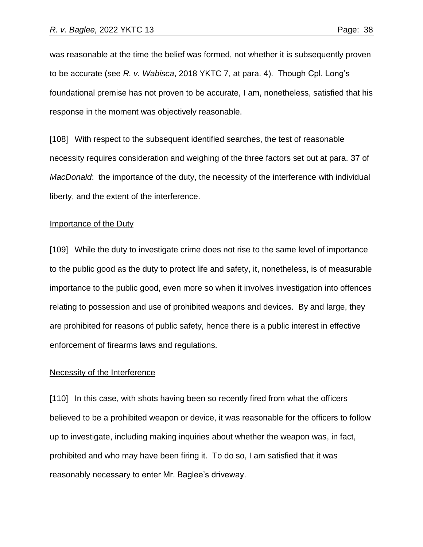was reasonable at the time the belief was formed, not whether it is subsequently proven to be accurate (see *R. v. Wabisca*, 2018 YKTC 7, at para. 4). Though Cpl. Long's foundational premise has not proven to be accurate, I am, nonetheless, satisfied that his response in the moment was objectively reasonable.

[108] With respect to the subsequent identified searches, the test of reasonable necessity requires consideration and weighing of the three factors set out at para. 37 of *MacDonald*: the importance of the duty, the necessity of the interference with individual liberty, and the extent of the interference.

### Importance of the Duty

[109] While the duty to investigate crime does not rise to the same level of importance to the public good as the duty to protect life and safety, it, nonetheless, is of measurable importance to the public good, even more so when it involves investigation into offences relating to possession and use of prohibited weapons and devices. By and large, they are prohibited for reasons of public safety, hence there is a public interest in effective enforcement of firearms laws and regulations.

### Necessity of the Interference

[110] In this case, with shots having been so recently fired from what the officers believed to be a prohibited weapon or device, it was reasonable for the officers to follow up to investigate, including making inquiries about whether the weapon was, in fact, prohibited and who may have been firing it. To do so, I am satisfied that it was reasonably necessary to enter Mr. Baglee's driveway.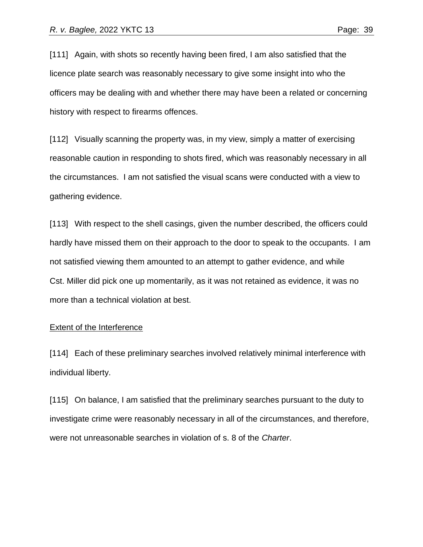[111] Again, with shots so recently having been fired, I am also satisfied that the licence plate search was reasonably necessary to give some insight into who the officers may be dealing with and whether there may have been a related or concerning history with respect to firearms offences.

[112] Visually scanning the property was, in my view, simply a matter of exercising reasonable caution in responding to shots fired, which was reasonably necessary in all the circumstances. I am not satisfied the visual scans were conducted with a view to gathering evidence.

[113] With respect to the shell casings, given the number described, the officers could hardly have missed them on their approach to the door to speak to the occupants. I am not satisfied viewing them amounted to an attempt to gather evidence, and while Cst. Miller did pick one up momentarily, as it was not retained as evidence, it was no more than a technical violation at best.

### Extent of the Interference

[114] Each of these preliminary searches involved relatively minimal interference with individual liberty.

[115] On balance, I am satisfied that the preliminary searches pursuant to the duty to investigate crime were reasonably necessary in all of the circumstances, and therefore, were not unreasonable searches in violation of s. 8 of the *Charter*.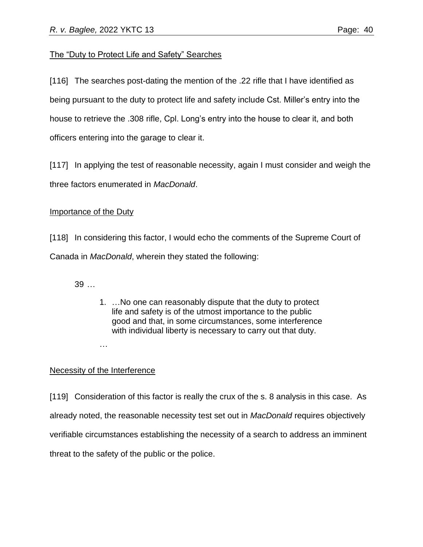# The "Duty to Protect Life and Safety" Searches

[116] The searches post-dating the mention of the .22 rifle that I have identified as being pursuant to the duty to protect life and safety include Cst. Miller's entry into the house to retrieve the .308 rifle, Cpl. Long's entry into the house to clear it, and both officers entering into the garage to clear it.

[117] In applying the test of reasonable necessity, again I must consider and weigh the three factors enumerated in *MacDonald*.

# Importance of the Duty

[118] In considering this factor, I would echo the comments of the Supreme Court of Canada in *MacDonald*, wherein they stated the following:

39 …

1. …No one can reasonably dispute that the duty to protect life and safety is of the utmost importance to the public good and that, in some circumstances, some interference with individual liberty is necessary to carry out that duty.

…

# Necessity of the Interference

[119] Consideration of this factor is really the crux of the s. 8 analysis in this case. As already noted, the reasonable necessity test set out in *MacDonald* requires objectively verifiable circumstances establishing the necessity of a search to address an imminent threat to the safety of the public or the police.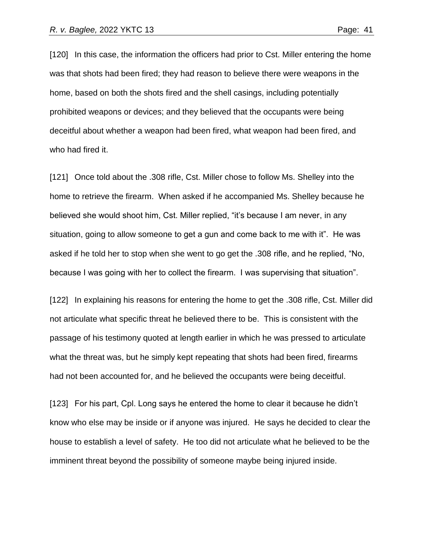[120] In this case, the information the officers had prior to Cst. Miller entering the home was that shots had been fired; they had reason to believe there were weapons in the home, based on both the shots fired and the shell casings, including potentially prohibited weapons or devices; and they believed that the occupants were being deceitful about whether a weapon had been fired, what weapon had been fired, and who had fired it.

[121] Once told about the .308 rifle, Cst. Miller chose to follow Ms. Shelley into the home to retrieve the firearm. When asked if he accompanied Ms. Shelley because he believed she would shoot him, Cst. Miller replied, "it's because I am never, in any situation, going to allow someone to get a gun and come back to me with it". He was asked if he told her to stop when she went to go get the .308 rifle, and he replied, "No, because I was going with her to collect the firearm. I was supervising that situation".

[122] In explaining his reasons for entering the home to get the .308 rifle, Cst. Miller did not articulate what specific threat he believed there to be. This is consistent with the passage of his testimony quoted at length earlier in which he was pressed to articulate what the threat was, but he simply kept repeating that shots had been fired, firearms had not been accounted for, and he believed the occupants were being deceitful.

[123] For his part, Cpl. Long says he entered the home to clear it because he didn't know who else may be inside or if anyone was injured. He says he decided to clear the house to establish a level of safety. He too did not articulate what he believed to be the imminent threat beyond the possibility of someone maybe being injured inside.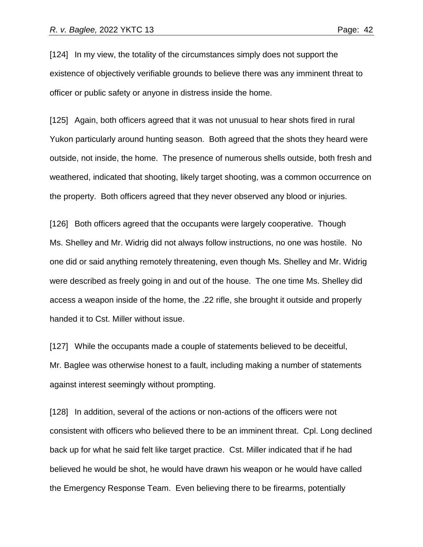[124] In my view, the totality of the circumstances simply does not support the existence of objectively verifiable grounds to believe there was any imminent threat to officer or public safety or anyone in distress inside the home.

[125] Again, both officers agreed that it was not unusual to hear shots fired in rural Yukon particularly around hunting season. Both agreed that the shots they heard were outside, not inside, the home. The presence of numerous shells outside, both fresh and weathered, indicated that shooting, likely target shooting, was a common occurrence on the property. Both officers agreed that they never observed any blood or injuries.

[126] Both officers agreed that the occupants were largely cooperative. Though Ms. Shelley and Mr. Widrig did not always follow instructions, no one was hostile. No one did or said anything remotely threatening, even though Ms. Shelley and Mr. Widrig were described as freely going in and out of the house. The one time Ms. Shelley did access a weapon inside of the home, the .22 rifle, she brought it outside and properly handed it to Cst. Miller without issue.

[127] While the occupants made a couple of statements believed to be deceitful, Mr. Baglee was otherwise honest to a fault, including making a number of statements against interest seemingly without prompting.

[128] In addition, several of the actions or non-actions of the officers were not consistent with officers who believed there to be an imminent threat. Cpl. Long declined back up for what he said felt like target practice. Cst. Miller indicated that if he had believed he would be shot, he would have drawn his weapon or he would have called the Emergency Response Team. Even believing there to be firearms, potentially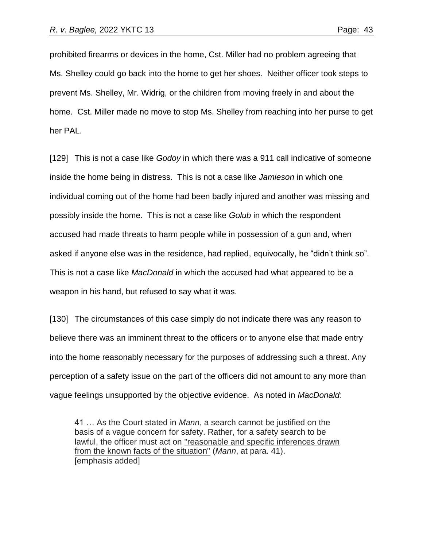prohibited firearms or devices in the home, Cst. Miller had no problem agreeing that Ms. Shelley could go back into the home to get her shoes. Neither officer took steps to prevent Ms. Shelley, Mr. Widrig, or the children from moving freely in and about the home. Cst. Miller made no move to stop Ms. Shelley from reaching into her purse to get her PAL.

[129] This is not a case like *Godoy* in which there was a 911 call indicative of someone inside the home being in distress. This is not a case like *Jamieson* in which one individual coming out of the home had been badly injured and another was missing and possibly inside the home. This is not a case like *Golub* in which the respondent accused had made threats to harm people while in possession of a gun and, when asked if anyone else was in the residence, had replied, equivocally, he "didn't think so". This is not a case like *MacDonald* in which the accused had what appeared to be a weapon in his hand, but refused to say what it was.

[130] The circumstances of this case simply do not indicate there was any reason to believe there was an imminent threat to the officers or to anyone else that made entry into the home reasonably necessary for the purposes of addressing such a threat. Any perception of a safety issue on the part of the officers did not amount to any more than vague feelings unsupported by the objective evidence. As noted in *MacDonald*:

41 … As the Court stated in *Mann*, a search cannot be justified on the basis of a vague concern for safety. Rather, for a safety search to be lawful, the officer must act on "reasonable and specific inferences drawn from the known facts of the situation" (*Mann*, at para. 41). [emphasis added]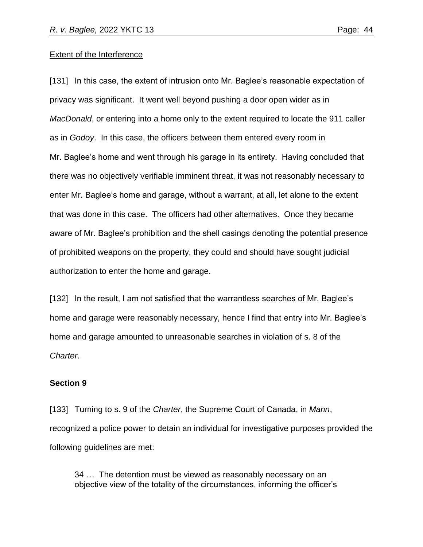### Extent of the Interference

[131] In this case, the extent of intrusion onto Mr. Baglee's reasonable expectation of privacy was significant. It went well beyond pushing a door open wider as in *MacDonald*, or entering into a home only to the extent required to locate the 911 caller as in *Godoy*. In this case, the officers between them entered every room in Mr. Baglee's home and went through his garage in its entirety. Having concluded that there was no objectively verifiable imminent threat, it was not reasonably necessary to enter Mr. Baglee's home and garage, without a warrant, at all, let alone to the extent that was done in this case. The officers had other alternatives. Once they became aware of Mr. Baglee's prohibition and the shell casings denoting the potential presence of prohibited weapons on the property, they could and should have sought judicial authorization to enter the home and garage.

[132] In the result, I am not satisfied that the warrantless searches of Mr. Baglee's home and garage were reasonably necessary, hence I find that entry into Mr. Baglee's home and garage amounted to unreasonable searches in violation of s. 8 of the *Charter*.

### **Section 9**

[133] Turning to s. 9 of the *Charter*, the Supreme Court of Canada, in *Mann*, recognized a police power to detain an individual for investigative purposes provided the following guidelines are met:

34 … The detention must be viewed as reasonably necessary on an objective view of the totality of the circumstances, informing the officer's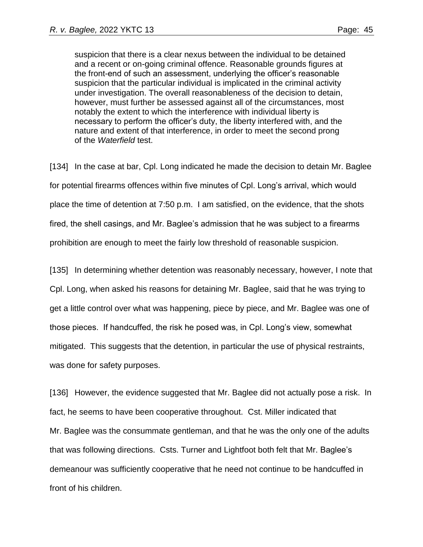suspicion that there is a clear nexus between the individual to be detained and a recent or on-going criminal offence. Reasonable grounds figures at the front-end of such an assessment, underlying the officer's reasonable suspicion that the particular individual is implicated in the criminal activity under investigation. The overall reasonableness of the decision to detain, however, must further be assessed against all of the circumstances, most notably the extent to which the interference with individual liberty is necessary to perform the officer's duty, the liberty interfered with, and the nature and extent of that interference, in order to meet the second prong of the *Waterfield* test.

[134] In the case at bar, Cpl. Long indicated he made the decision to detain Mr. Baglee for potential firearms offences within five minutes of Cpl. Long's arrival, which would place the time of detention at 7:50 p.m. I am satisfied, on the evidence, that the shots fired, the shell casings, and Mr. Baglee's admission that he was subject to a firearms prohibition are enough to meet the fairly low threshold of reasonable suspicion.

[135] In determining whether detention was reasonably necessary, however, I note that Cpl. Long, when asked his reasons for detaining Mr. Baglee, said that he was trying to get a little control over what was happening, piece by piece, and Mr. Baglee was one of those pieces. If handcuffed, the risk he posed was, in Cpl. Long's view, somewhat mitigated. This suggests that the detention, in particular the use of physical restraints, was done for safety purposes.

[136] However, the evidence suggested that Mr. Baglee did not actually pose a risk. In fact, he seems to have been cooperative throughout. Cst. Miller indicated that Mr. Baglee was the consummate gentleman, and that he was the only one of the adults that was following directions. Csts. Turner and Lightfoot both felt that Mr. Baglee's demeanour was sufficiently cooperative that he need not continue to be handcuffed in front of his children.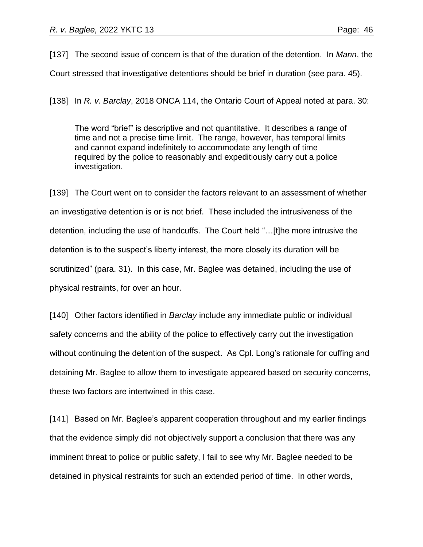[137] The second issue of concern is that of the duration of the detention. In *Mann*, the

Court stressed that investigative detentions should be brief in duration (see para. 45).

[138] In *R. v. Barclay*, 2018 ONCA 114, the Ontario Court of Appeal noted at para. 30:

The word "brief" is descriptive and not quantitative. It describes a range of time and not a precise time limit. The range, however, has temporal limits and cannot expand indefinitely to accommodate any length of time required by the police to reasonably and expeditiously carry out a police investigation.

[139] The Court went on to consider the factors relevant to an assessment of whether an investigative detention is or is not brief. These included the intrusiveness of the detention, including the use of handcuffs. The Court held "…[t]he more intrusive the detention is to the suspect's liberty interest, the more closely its duration will be scrutinized" (para. 31). In this case, Mr. Baglee was detained, including the use of physical restraints, for over an hour.

[140] Other factors identified in *Barclay* include any immediate public or individual safety concerns and the ability of the police to effectively carry out the investigation without continuing the detention of the suspect. As Cpl. Long's rationale for cuffing and detaining Mr. Baglee to allow them to investigate appeared based on security concerns, these two factors are intertwined in this case.

[141] Based on Mr. Baglee's apparent cooperation throughout and my earlier findings that the evidence simply did not objectively support a conclusion that there was any imminent threat to police or public safety, I fail to see why Mr. Baglee needed to be detained in physical restraints for such an extended period of time. In other words,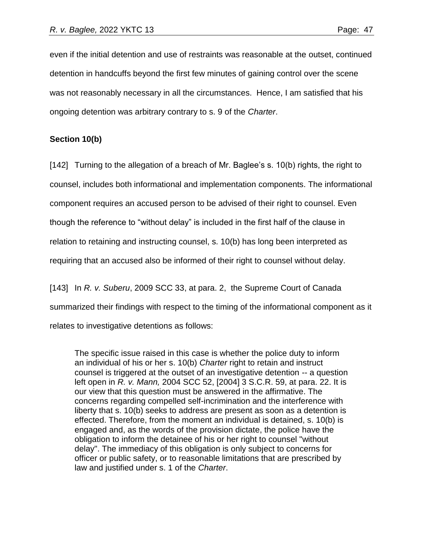even if the initial detention and use of restraints was reasonable at the outset, continued detention in handcuffs beyond the first few minutes of gaining control over the scene was not reasonably necessary in all the circumstances. Hence, I am satisfied that his ongoing detention was arbitrary contrary to s. 9 of the *Charter*.

# **Section 10(b)**

[142] Turning to the allegation of a breach of Mr. Baglee's s. 10(b) rights, the right to counsel, includes both informational and implementation components. The informational component requires an accused person to be advised of their right to counsel. Even though the reference to "without delay" is included in the first half of the clause in relation to retaining and instructing counsel, s. 10(b) has long been interpreted as requiring that an accused also be informed of their right to counsel without delay.

[143] In *R. v. Suberu*, 2009 SCC 33, at para. 2, the Supreme Court of Canada summarized their findings with respect to the timing of the informational component as it relates to investigative detentions as follows:

The specific issue raised in this case is whether the police duty to inform an individual of his or her s. 10(b) *Charter* right to retain and instruct counsel is triggered at the outset of an investigative detention -- a question left open in *R. v. Mann,* 2004 SCC 52, [2004] 3 S.C.R. 59, at para. 22. It is our view that this question must be answered in the affirmative. The concerns regarding compelled self-incrimination and the interference with liberty that s. 10(b) seeks to address are present as soon as a detention is effected. Therefore, from the moment an individual is detained, s. 10(b) is engaged and, as the words of the provision dictate, the police have the obligation to inform the detainee of his or her right to counsel "without delay". The immediacy of this obligation is only subject to concerns for officer or public safety, or to reasonable limitations that are prescribed by law and justified under s. 1 of the *Charter*.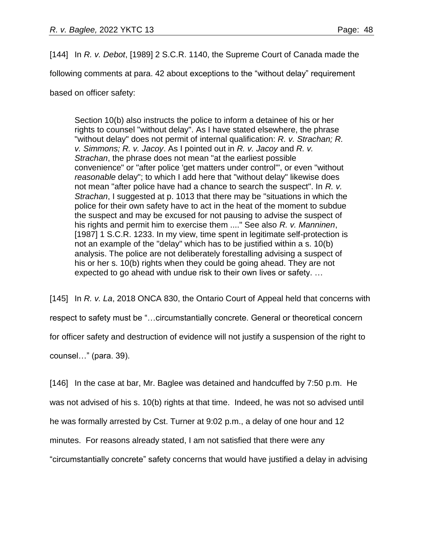[144] In *R. v. Debot*, [1989] 2 S.C.R. 1140, the Supreme Court of Canada made the

following comments at para. 42 about exceptions to the "without delay" requirement

based on officer safety:

Section 10(b) also instructs the police to inform a detainee of his or her rights to counsel "without delay". As I have stated elsewhere, the phrase "without delay" does not permit of internal qualification: *R. v. Strachan; R. v. Simmons; R. v. Jacoy*. As I pointed out in *R. v. Jacoy* and *R. v. Strachan*, the phrase does not mean "at the earliest possible convenience" or "after police 'get matters under control'", or even "without *reasonable* delay"; to which I add here that "without delay" likewise does not mean "after police have had a chance to search the suspect". In *R. v. Strachan*, I suggested at p. 1013 that there may be "situations in which the police for their own safety have to act in the heat of the moment to subdue the suspect and may be excused for not pausing to advise the suspect of his rights and permit him to exercise them ...." See also *R. v. Manninen*, [1987] 1 S.C.R. 1233. In my view, time spent in legitimate self-protection is not an example of the "delay" which has to be justified within a s. 10(b) analysis. The police are not deliberately forestalling advising a suspect of his or her s. 10(b) rights when they could be going ahead. They are not expected to go ahead with undue risk to their own lives or safety. …

[145] In *R. v. La*, 2018 ONCA 830, the Ontario Court of Appeal held that concerns with respect to safety must be "…circumstantially concrete. General or theoretical concern for officer safety and destruction of evidence will not justify a suspension of the right to counsel…" (para. 39).

[146] In the case at bar, Mr. Baglee was detained and handcuffed by 7:50 p.m. He was not advised of his s. 10(b) rights at that time. Indeed, he was not so advised until he was formally arrested by Cst. Turner at 9:02 p.m., a delay of one hour and 12 minutes. For reasons already stated, I am not satisfied that there were any "circumstantially concrete" safety concerns that would have justified a delay in advising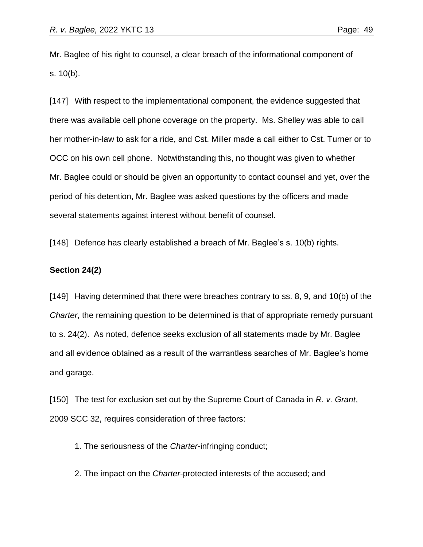Mr. Baglee of his right to counsel, a clear breach of the informational component of s. 10(b).

[147] With respect to the implementational component, the evidence suggested that there was available cell phone coverage on the property. Ms. Shelley was able to call her mother-in-law to ask for a ride, and Cst. Miller made a call either to Cst. Turner or to OCC on his own cell phone. Notwithstanding this, no thought was given to whether Mr. Baglee could or should be given an opportunity to contact counsel and yet, over the period of his detention, Mr. Baglee was asked questions by the officers and made several statements against interest without benefit of counsel.

[148] Defence has clearly established a breach of Mr. Baglee's s. 10(b) rights.

### **Section 24(2)**

[149] Having determined that there were breaches contrary to ss. 8, 9, and 10(b) of the *Charter*, the remaining question to be determined is that of appropriate remedy pursuant to s. 24(2). As noted, defence seeks exclusion of all statements made by Mr. Baglee and all evidence obtained as a result of the warrantless searches of Mr. Baglee's home and garage.

[150] The test for exclusion set out by the Supreme Court of Canada in *R. v. Grant*, 2009 SCC 32, requires consideration of three factors:

1. The seriousness of the *Charter*-infringing conduct;

2. The impact on the *Charter*-protected interests of the accused; and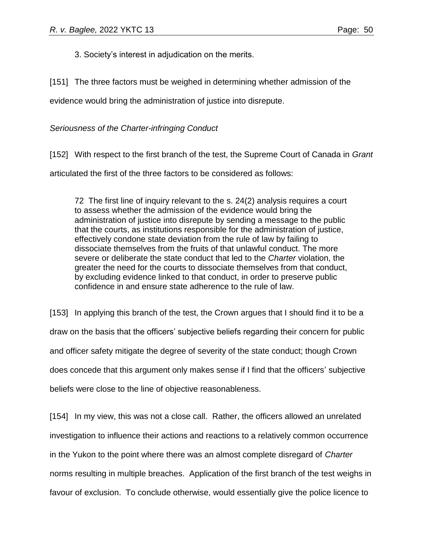3. Society's interest in adjudication on the merits.

[151] The three factors must be weighed in determining whether admission of the

evidence would bring the administration of justice into disrepute.

*Seriousness of the Charter-infringing Conduct*

[152] With respect to the first branch of the test, the Supreme Court of Canada in *Grant* articulated the first of the three factors to be considered as follows:

72 The first line of inquiry relevant to the s. 24(2) analysis requires a court to assess whether the admission of the evidence would bring the administration of justice into disrepute by sending a message to the public that the courts, as institutions responsible for the administration of justice, effectively condone state deviation from the rule of law by failing to dissociate themselves from the fruits of that unlawful conduct. The more severe or deliberate the state conduct that led to the *Charter* violation, the greater the need for the courts to dissociate themselves from that conduct, by excluding evidence linked to that conduct, in order to preserve public confidence in and ensure state adherence to the rule of law.

[153] In applying this branch of the test, the Crown argues that I should find it to be a draw on the basis that the officers' subjective beliefs regarding their concern for public and officer safety mitigate the degree of severity of the state conduct; though Crown does concede that this argument only makes sense if I find that the officers' subjective beliefs were close to the line of objective reasonableness.

[154] In my view, this was not a close call. Rather, the officers allowed an unrelated investigation to influence their actions and reactions to a relatively common occurrence in the Yukon to the point where there was an almost complete disregard of *Charter* norms resulting in multiple breaches. Application of the first branch of the test weighs in favour of exclusion. To conclude otherwise, would essentially give the police licence to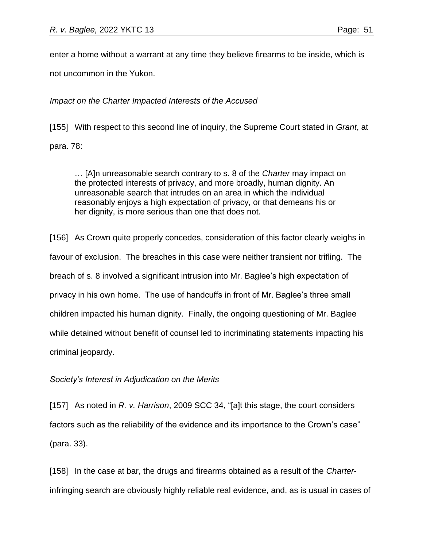enter a home without a warrant at any time they believe firearms to be inside, which is

not uncommon in the Yukon.

*Impact on the Charter Impacted Interests of the Accused*

[155] With respect to this second line of inquiry, the Supreme Court stated in *Grant*, at

para. 78:

… [A]n unreasonable search contrary to s. 8 of the *Charter* may impact on the protected interests of privacy, and more broadly, human dignity. An unreasonable search that intrudes on an area in which the individual reasonably enjoys a high expectation of privacy, or that demeans his or her dignity, is more serious than one that does not.

[156] As Crown quite properly concedes, consideration of this factor clearly weighs in favour of exclusion. The breaches in this case were neither transient nor trifling. The breach of s. 8 involved a significant intrusion into Mr. Baglee's high expectation of privacy in his own home. The use of handcuffs in front of Mr. Baglee's three small children impacted his human dignity. Finally, the ongoing questioning of Mr. Baglee while detained without benefit of counsel led to incriminating statements impacting his criminal jeopardy.

## *Society's Interest in Adjudication on the Merits*

[157] As noted in *R. v. Harrison*, 2009 SCC 34, "[a]t this stage, the court considers factors such as the reliability of the evidence and its importance to the Crown's case" (para. 33).

[158] In the case at bar, the drugs and firearms obtained as a result of the *Charter*infringing search are obviously highly reliable real evidence, and, as is usual in cases of